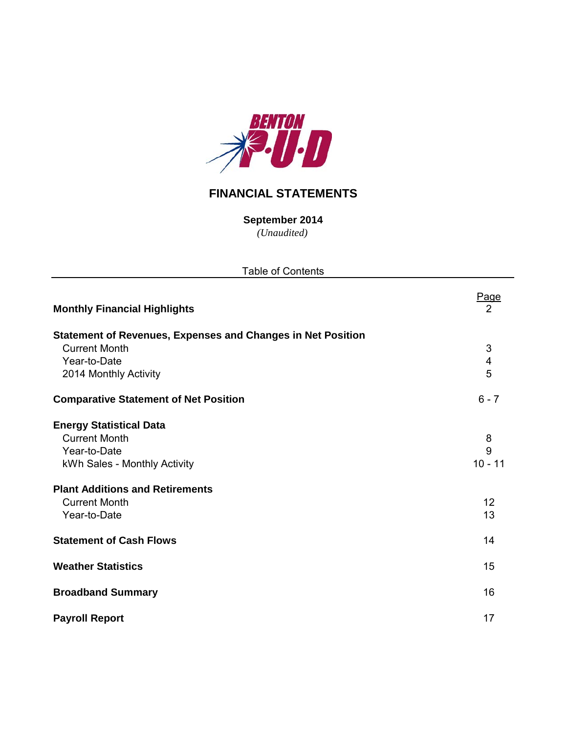

# **FINANCIAL STATEMENTS**

**September 2014**

*(Unaudited)*

| <b>Table of Contents</b>                                           |                         |  |  |  |  |  |  |  |
|--------------------------------------------------------------------|-------------------------|--|--|--|--|--|--|--|
| <b>Monthly Financial Highlights</b>                                | <u>Page</u><br>2        |  |  |  |  |  |  |  |
| <b>Statement of Revenues, Expenses and Changes in Net Position</b> |                         |  |  |  |  |  |  |  |
| <b>Current Month</b>                                               | 3                       |  |  |  |  |  |  |  |
| Year-to-Date                                                       | $\overline{\mathbf{4}}$ |  |  |  |  |  |  |  |
| 2014 Monthly Activity                                              | 5                       |  |  |  |  |  |  |  |
| <b>Comparative Statement of Net Position</b>                       | $6 - 7$                 |  |  |  |  |  |  |  |
| <b>Energy Statistical Data</b>                                     |                         |  |  |  |  |  |  |  |
| <b>Current Month</b>                                               | 8                       |  |  |  |  |  |  |  |
| Year-to-Date                                                       | 9                       |  |  |  |  |  |  |  |
| kWh Sales - Monthly Activity                                       | $10 - 11$               |  |  |  |  |  |  |  |
| <b>Plant Additions and Retirements</b>                             |                         |  |  |  |  |  |  |  |
| <b>Current Month</b>                                               | 12                      |  |  |  |  |  |  |  |
| Year-to-Date                                                       | 13                      |  |  |  |  |  |  |  |
| <b>Statement of Cash Flows</b>                                     | 14                      |  |  |  |  |  |  |  |
| <b>Weather Statistics</b>                                          | 15                      |  |  |  |  |  |  |  |
| <b>Broadband Summary</b>                                           | 16                      |  |  |  |  |  |  |  |
| <b>Payroll Report</b>                                              | 17                      |  |  |  |  |  |  |  |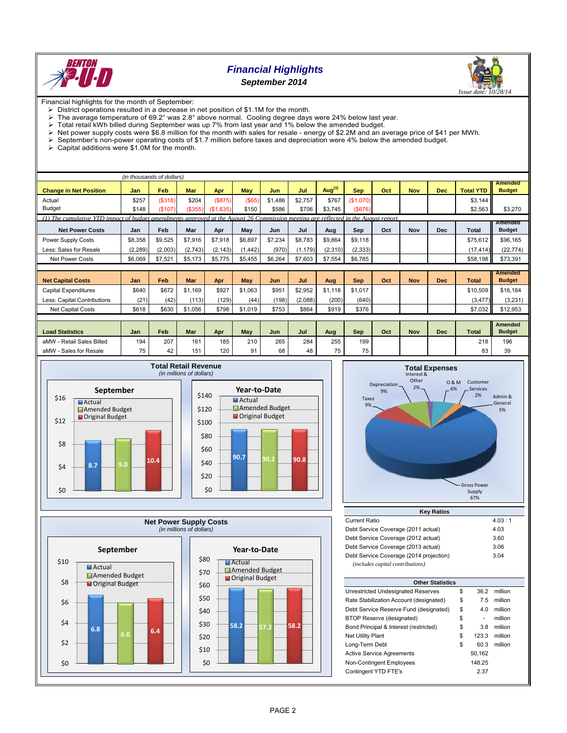

## *Financial Highlights September 2014*



Financial highlights for the month of September:

- $\triangleright$  District operations resulted in a decrease in net position of \$1.1M for the month.<br> $\triangleright$  The average temperature of 69.2° was 2.8° above normal. Cooling degree days
- The average temperature of 69.2° was 2.8° above normal. Cooling degree days were 24% below last year.<br>
> Total retail kWh billed during September was up 7% from last year and 1% below the amended budget.
- $\ge$  Total retail kWh billed during September was up 7% from last year and 1% below the amended budget.<br> $\ge$  Net nower supply costs were \$6.8 million for the month with sales for resale energy of \$2.2M and an axis
- Net power supply costs were \$6.8 million for the month with sales for resale energy of \$2.2M and an average price of \$41 per MWh.<br>  $\triangleright$  September's non-power operating costs of \$1.7 million before taxes and depreciati
- September's non-power operating costs of \$1.7 million before taxes and depreciation were 4% below the amended budget.
- Capital additions were \$1.0M for the month.

|                                                                                                                                    | (in thousands of dollars) |         |         |               |            |         |          |           |            |     |            |            |                  |                                 |
|------------------------------------------------------------------------------------------------------------------------------------|---------------------------|---------|---------|---------------|------------|---------|----------|-----------|------------|-----|------------|------------|------------------|---------------------------------|
| <b>Change in Net Position</b>                                                                                                      | Jan                       | Feb     | Mar     | Apr           | May        | Jun     | Jul      | Aug $(1)$ | <b>Sep</b> | Oct | <b>Nov</b> | <b>Dec</b> | <b>Total YTD</b> | <b>Amended</b><br><b>Budget</b> |
| Actual                                                                                                                             | \$257                     | (\$318) | \$204   | (S875)        | $($ \$65)  | \$1,486 | \$2,757  | \$767     | (\$1.070)  |     |            |            | \$3,144          |                                 |
| <b>Budget</b>                                                                                                                      | \$148                     | (\$107) | (\$355) | ,635)<br>(S1) | \$150      | \$586   | \$706    | \$3,745   | (S676)     |     |            |            | \$2,563          | \$3,270                         |
| (1) The cumulative YTD impact of budget amendments approved at the August 26 Commission meeting are reflected in the August report |                           |         |         |               |            |         |          |           |            |     |            |            |                  |                                 |
| <b>Net Power Costs</b>                                                                                                             | Jan                       | Feb     | Mar     | Apr           | May        | Jun     | Jul      | Aug       | Sep        | Oct | Nov        | <b>Dec</b> | <b>Total</b>     | Amended<br><b>Budget</b>        |
| Power Supply Costs                                                                                                                 | \$8,358                   | \$9,525 | \$7,916 | \$7,918       | \$6,897    | \$7,234 | \$8,783  | \$9,864   | \$9,118    |     |            |            | \$75,612         | \$96,165                        |
| Less: Sales for Resale                                                                                                             | (2, 289)                  | (2,003) | (2,743) | (2, 143)      | (1, 442)   | (970)   | (1, 179) | (2,310)   | (2, 333)   |     |            |            | (17, 414)        | (22, 774)                       |
| <b>Net Power Costs</b>                                                                                                             | \$6,069                   | \$7,521 | \$5,173 | \$5,775       | \$5,455    | \$6,264 | \$7,603  | \$7,554   | \$6,785    |     |            |            | \$58,198         | \$73,391                        |
|                                                                                                                                    |                           |         |         |               |            |         |          |           |            |     |            |            |                  |                                 |
|                                                                                                                                    |                           |         |         |               |            |         |          |           |            |     |            |            |                  | <b>Amended</b>                  |
| <b>Net Capital Costs</b>                                                                                                           | Jan                       | Feb     | Mar     | Apr           | <b>May</b> | Jun     | Jul      | Aug       | <b>Sep</b> | Oct | <b>Nov</b> | <b>Dec</b> | <b>Total</b>     | <b>Budget</b>                   |
| <b>Capital Expenditures</b>                                                                                                        | \$640                     | \$672   | \$1.169 | \$927         | \$1.063    | \$951   | \$2,952  | \$1.118   | \$1,017    |     |            |            | \$10,509         | \$16,184                        |
| Less: Capital Contributions                                                                                                        | (21)                      | (42)    | (113)   | (129)         | (44)       | (198)   | (2,088)  | (200)     | (640)      |     |            |            | (3, 477)         | (3,231)                         |
| <b>Net Capital Costs</b>                                                                                                           | \$618                     | \$630   | \$1,056 | \$798         | \$1,019    | \$753   | \$864    | \$919     | \$376      |     |            |            | \$7,032          | \$12,953                        |
|                                                                                                                                    |                           |         |         |               |            |         |          |           |            |     |            |            |                  |                                 |
| <b>Load Statistics</b>                                                                                                             | Jan                       | Feb     | Mar     | Apr           | May        | Jun     | Jul      | Aug       | Sep        | Oct | <b>Nov</b> | <b>Dec</b> | <b>Total</b>     | <b>Amended</b><br><b>Budget</b> |
| aMW - Retail Sales Billed                                                                                                          | 194                       | 207     | 161     | 185           | 210        | 265     | 284      | 255       | 199        |     |            |            | 218              | 196                             |
| aMW - Sales for Resale                                                                                                             | 75                        | 42      | 151     | 120           | 91         | 68      | 48       | 75        | 75         |     |            |            | 83               | 39                              |









| <b>Current Ratio</b>                    | 4.03 : 1 |
|-----------------------------------------|----------|
| Debt Service Coverage (2011 actual)     | 4.03     |
| Debt Service Coverage (2012 actual)     | 3.60     |
| Debt Service Coverage (2013 actual)     | 3.06     |
| Debt Service Coverage (2014 projection) | 3.04     |
| (includes capital contributions)        |          |

| <b>Other Statistics</b>                 |    |        |         |  |  |  |  |  |  |  |
|-----------------------------------------|----|--------|---------|--|--|--|--|--|--|--|
| Unrestricted Undesignated Reserves      | \$ | 36.2   | million |  |  |  |  |  |  |  |
| Rate Stabilization Account (designated) | \$ | 7.5    | million |  |  |  |  |  |  |  |
| Debt Service Reserve Fund (designated)  | \$ | 4.0    | million |  |  |  |  |  |  |  |
| BTOP Reserve (designated)               | \$ | -      | million |  |  |  |  |  |  |  |
| Bond Principal & Interest (restricted)  | \$ | 3.8    | million |  |  |  |  |  |  |  |
| <b>Net Utility Plant</b>                | \$ | 123.3  | million |  |  |  |  |  |  |  |
| Long-Term Debt                          | \$ | 60.3   | million |  |  |  |  |  |  |  |
| <b>Active Service Agreements</b>        |    | 50,162 |         |  |  |  |  |  |  |  |
| Non-Contingent Employees                |    | 148.25 |         |  |  |  |  |  |  |  |
| Contingent YTD FTE's                    |    | 2.37   |         |  |  |  |  |  |  |  |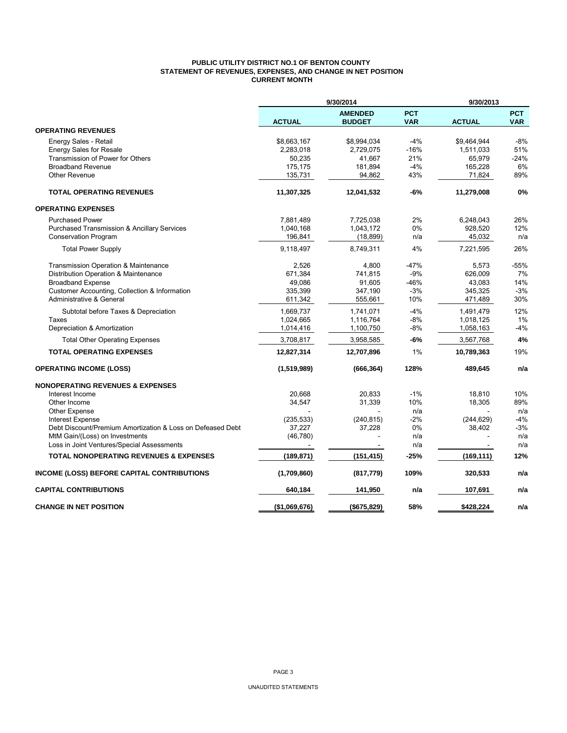## **PUBLIC UTILITY DISTRICT NO.1 OF BENTON COUNTY STATEMENT OF REVENUES, EXPENSES, AND CHANGE IN NET POSITION CURRENT MONTH**

|                                                                                              | 9/30/2014<br>9/30/2013 |                                 |                          |               |                          |
|----------------------------------------------------------------------------------------------|------------------------|---------------------------------|--------------------------|---------------|--------------------------|
|                                                                                              | <b>ACTUAL</b>          | <b>AMENDED</b><br><b>BUDGET</b> | <b>PCT</b><br><b>VAR</b> | <b>ACTUAL</b> | <b>PCT</b><br><b>VAR</b> |
| <b>OPERATING REVENUES</b>                                                                    |                        |                                 |                          |               |                          |
| Energy Sales - Retail                                                                        | \$8,663,167            | \$8,994,034                     | $-4%$                    | \$9,464,944   | $-8%$                    |
| <b>Energy Sales for Resale</b>                                                               | 2,283,018              | 2,729,075                       | $-16%$                   | 1,511,033     | 51%                      |
| Transmission of Power for Others                                                             | 50,235                 | 41.667                          | 21%                      | 65,979        | $-24%$                   |
| <b>Broadband Revenue</b>                                                                     | 175,175                | 181,894                         | $-4%$                    | 165,228       | 6%                       |
| Other Revenue                                                                                | 135,731                | 94,862                          | 43%                      | 71,824        | 89%                      |
| <b>TOTAL OPERATING REVENUES</b>                                                              | 11,307,325             | 12,041,532                      | -6%                      | 11,279,008    | 0%                       |
| <b>OPERATING EXPENSES</b>                                                                    |                        |                                 |                          |               |                          |
| <b>Purchased Power</b>                                                                       | 7,881,489              | 7,725,038                       | 2%                       | 6,248,043     | 26%                      |
| <b>Purchased Transmission &amp; Ancillary Services</b>                                       | 1,040,168              | 1,043,172                       | 0%                       | 928,520       | 12%                      |
| <b>Conservation Program</b>                                                                  | 196,841                | (18, 899)                       | n/a                      | 45,032        | n/a                      |
| <b>Total Power Supply</b>                                                                    | 9,118,497              | 8,749,311                       | 4%                       | 7,221,595     | 26%                      |
| Transmission Operation & Maintenance                                                         | 2,526                  | 4,800                           | -47%                     | 5,573         | $-55%$                   |
| Distribution Operation & Maintenance                                                         | 671,384                | 741.815                         | $-9%$                    | 626.009       | 7%                       |
| <b>Broadband Expense</b>                                                                     | 49,086                 | 91,605                          | -46%                     | 43,083        | 14%                      |
| Customer Accounting, Collection & Information                                                | 335,399                | 347,190                         | $-3%$                    | 345,325       | $-3%$                    |
| Administrative & General                                                                     | 611,342                | 555,661                         | 10%                      | 471,489       | 30%                      |
| Subtotal before Taxes & Depreciation                                                         | 1,669,737              | 1,741,071                       | $-4%$                    | 1,491,479     | 12%                      |
| Taxes                                                                                        | 1,024,665              | 1,116,764                       | $-8%$                    | 1,018,125     | 1%                       |
| Depreciation & Amortization                                                                  | 1,014,416              | 1,100,750                       | $-8%$                    | 1,058,163     | -4%                      |
| <b>Total Other Operating Expenses</b>                                                        | 3,708,817              | 3,958,585                       | -6%                      | 3,567,768     | 4%                       |
| <b>TOTAL OPERATING EXPENSES</b>                                                              | 12,827,314             | 12,707,896                      | 1%                       | 10,789,363    | 19%                      |
| <b>OPERATING INCOME (LOSS)</b>                                                               | (1,519,989)            | (666, 364)                      | 128%                     | 489,645       | n/a                      |
| <b>NONOPERATING REVENUES &amp; EXPENSES</b>                                                  |                        |                                 |                          |               |                          |
| Interest Income                                                                              | 20.668                 | 20.833                          | $-1%$                    | 18,810        | 10%                      |
| Other Income                                                                                 | 34,547                 | 31,339                          | 10%                      | 18,305        | 89%                      |
| <b>Other Expense</b>                                                                         |                        |                                 | n/a                      |               | n/a                      |
| Interest Expense                                                                             | (235, 533)             | (240, 815)                      | $-2%$                    | (244, 629)    | $-4%$                    |
| Debt Discount/Premium Amortization & Loss on Defeased Debt<br>MtM Gain/(Loss) on Investments | 37,227<br>(46, 780)    | 37,228                          | 0%<br>n/a                | 38,402        | $-3%$<br>n/a             |
| Loss in Joint Ventures/Special Assessments                                                   |                        |                                 | n/a                      |               | n/a                      |
| <b>TOTAL NONOPERATING REVENUES &amp; EXPENSES</b>                                            | (189, 871)             | (151, 415)                      | $-25%$                   | (169, 111)    | 12%                      |
|                                                                                              |                        |                                 | 109%                     | 320,533       | n/a                      |
| INCOME (LOSS) BEFORE CAPITAL CONTRIBUTIONS                                                   | (1,709,860)            | (817, 779)                      |                          |               |                          |
| <b>CAPITAL CONTRIBUTIONS</b>                                                                 | 640,184                | 141,950                         | n/a                      | 107,691       | n/a                      |
| <b>CHANGE IN NET POSITION</b>                                                                | (\$1,069,676)          | (\$675,829)                     | 58%                      | \$428,224     | n/a                      |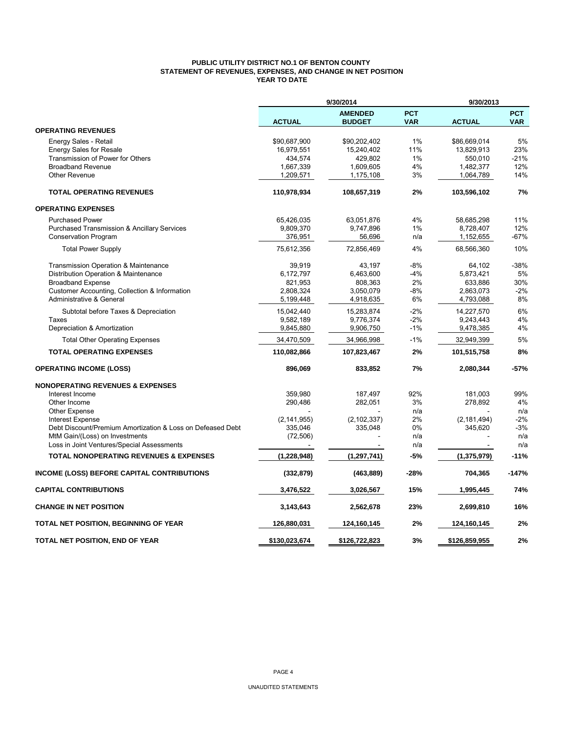## **PUBLIC UTILITY DISTRICT NO.1 OF BENTON COUNTY STATEMENT OF REVENUES, EXPENSES, AND CHANGE IN NET POSITION YEAR TO DATE**

|                                                            |               | 9/30/2014                       |                          | 9/30/2013     |                          |
|------------------------------------------------------------|---------------|---------------------------------|--------------------------|---------------|--------------------------|
|                                                            | <b>ACTUAL</b> | <b>AMENDED</b><br><b>BUDGET</b> | <b>PCT</b><br><b>VAR</b> | <b>ACTUAL</b> | <b>PCT</b><br><b>VAR</b> |
| <b>OPERATING REVENUES</b>                                  |               |                                 |                          |               |                          |
| Energy Sales - Retail                                      | \$90,687,900  | \$90,202,402                    | 1%                       | \$86,669,014  | 5%                       |
| <b>Energy Sales for Resale</b>                             | 16,979,551    | 15,240,402                      | 11%                      | 13,829,913    | 23%                      |
| Transmission of Power for Others                           | 434,574       | 429.802                         | 1%                       | 550,010       | $-21%$                   |
| <b>Broadband Revenue</b>                                   | 1,667,339     | 1,609,605                       | 4%                       | 1,482,377     | 12%                      |
| <b>Other Revenue</b>                                       | 1,209,571     | 1,175,108                       | 3%                       | 1,064,789     | 14%                      |
| <b>TOTAL OPERATING REVENUES</b>                            | 110,978,934   | 108,657,319                     | 2%                       | 103,596,102   | 7%                       |
| <b>OPERATING EXPENSES</b>                                  |               |                                 |                          |               |                          |
| <b>Purchased Power</b>                                     | 65,426,035    | 63,051,876                      | 4%                       | 58,685,298    | 11%                      |
| Purchased Transmission & Ancillary Services                | 9,809,370     | 9,747,896                       | 1%                       | 8,728,407     | 12%                      |
| <b>Conservation Program</b>                                | 376,951       | 56,696                          | n/a                      | 1,152,655     | -67%                     |
| <b>Total Power Supply</b>                                  | 75,612,356    | 72,856,469                      | 4%                       | 68,566,360    | 10%                      |
| Transmission Operation & Maintenance                       | 39.919        | 43.197                          | $-8%$                    | 64.102        | -38%                     |
| Distribution Operation & Maintenance                       | 6,172,797     | 6,463,600                       | $-4%$                    | 5,873,421     | 5%                       |
| <b>Broadband Expense</b>                                   | 821,953       | 808,363                         | 2%                       | 633,886       | 30%                      |
| Customer Accounting, Collection & Information              | 2,808,324     | 3,050,079                       | $-8%$                    | 2,863,073     | $-2%$                    |
| Administrative & General                                   | 5,199,448     | 4,918,635                       | 6%                       | 4,793,088     | 8%                       |
| Subtotal before Taxes & Depreciation                       | 15,042,440    | 15,283,874                      | $-2%$                    | 14,227,570    | 6%                       |
| Taxes                                                      | 9,582,189     | 9,776,374                       | $-2%$                    | 9,243,443     | 4%                       |
| Depreciation & Amortization                                | 9,845,880     | 9,906,750                       | $-1%$                    | 9,478,385     | 4%                       |
| <b>Total Other Operating Expenses</b>                      | 34,470,509    | 34,966,998                      | $-1%$                    | 32,949,399    | 5%                       |
| <b>TOTAL OPERATING EXPENSES</b>                            | 110,082,866   | 107,823,467                     | 2%                       | 101,515,758   | 8%                       |
| <b>OPERATING INCOME (LOSS)</b>                             | 896,069       | 833,852                         | 7%                       | 2,080,344     | -57%                     |
| <b>NONOPERATING REVENUES &amp; EXPENSES</b>                |               |                                 |                          |               |                          |
| Interest Income                                            | 359,980       | 187,497                         | 92%                      | 181,003       | 99%                      |
| Other Income                                               | 290,486       | 282,051                         | 3%                       | 278,892       | 4%                       |
| <b>Other Expense</b>                                       |               |                                 | n/a                      |               | n/a                      |
| <b>Interest Expense</b>                                    | (2, 141, 955) | (2, 102, 337)                   | 2%                       | (2, 181, 494) | $-2%$                    |
| Debt Discount/Premium Amortization & Loss on Defeased Debt | 335,046       | 335,048                         | 0%                       | 345,620       | $-3%$                    |
| MtM Gain/(Loss) on Investments                             | (72, 506)     |                                 | n/a                      |               | n/a                      |
| Loss in Joint Ventures/Special Assessments                 |               |                                 | n/a                      |               | n/a                      |
| <b>TOTAL NONOPERATING REVENUES &amp; EXPENSES</b>          | (1, 228, 948) | (1, 297, 741)                   | $-5%$                    | (1, 375, 979) | $-11%$                   |
| <b>INCOME (LOSS) BEFORE CAPITAL CONTRIBUTIONS</b>          | (332, 879)    | (463, 889)                      | -28%                     | 704,365       | $-147%$                  |
| <b>CAPITAL CONTRIBUTIONS</b>                               | 3,476,522     | 3,026,567                       | 15%                      | 1,995,445     | 74%                      |
| <b>CHANGE IN NET POSITION</b>                              | 3,143,643     | 2,562,678                       | 23%                      | 2,699,810     | 16%                      |
| TOTAL NET POSITION, BEGINNING OF YEAR                      | 126,880,031   | 124,160,145                     | 2%                       | 124,160,145   | 2%                       |
| TOTAL NET POSITION, END OF YEAR                            | \$130,023,674 | \$126,722,823                   | 3%                       | \$126,859,955 | 2%                       |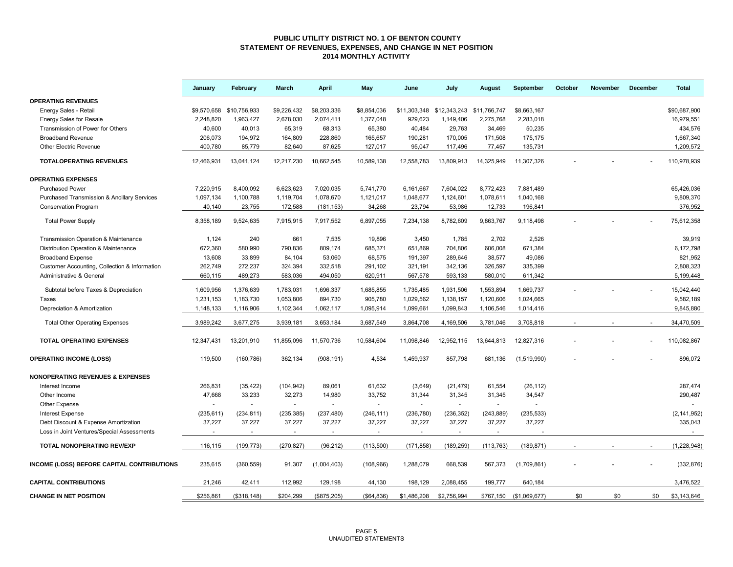### **PUBLIC UTILITY DISTRICT NO. 1 OF BENTON COUNTY STATEMENT OF REVENUES, EXPENSES, AND CHANGE IN NET POSITION 2014 MONTHLY ACTIVITY**

|                                                        | January     | February                 | March       | <b>April</b>             | May          | June         | July         | August       | September               | October | <b>November</b> | December | <b>Total</b>  |
|--------------------------------------------------------|-------------|--------------------------|-------------|--------------------------|--------------|--------------|--------------|--------------|-------------------------|---------|-----------------|----------|---------------|
| <b>OPERATING REVENUES</b>                              |             |                          |             |                          |              |              |              |              |                         |         |                 |          |               |
| Energy Sales - Retail                                  | \$9,570,658 | \$10,756,933             | \$9,226,432 | \$8,203,336              | \$8,854,036  | \$11,303,348 | \$12.343.243 | \$11,766,747 | \$8,663,167             |         |                 |          | \$90.687.900  |
| <b>Energy Sales for Resale</b>                         | 2,248,820   | 1,963,427                | 2,678,030   | 2,074,411                | 1,377,048    | 929,623      | 1,149,406    | 2,275,768    | 2,283,018               |         |                 |          | 16,979,551    |
| Transmission of Power for Others                       | 40,600      | 40,013                   | 65,319      | 68,313                   | 65,380       | 40,484       | 29,763       | 34,469       | 50,235                  |         |                 |          | 434,576       |
| <b>Broadband Revenue</b>                               | 206,073     | 194,972                  | 164,809     | 228,860                  | 165,657      | 190,281      | 170,005      | 171,508      | 175,175                 |         |                 |          | 1,667,340     |
| <b>Other Electric Revenue</b>                          | 400,780     | 85,779                   | 82,640      | 87,625                   | 127,017      | 95,047       | 117,496      | 77,457       | 135,731                 |         |                 |          | 1,209,572     |
| <b>TOTALOPERATING REVENUES</b>                         | 12,466,931  | 13,041,124               | 12,217,230  | 10,662,545               | 10,589,138   | 12,558,783   | 13,809,913   | 14,325,949   | 11,307,326              |         |                 |          | 110,978,939   |
| <b>OPERATING EXPENSES</b>                              |             |                          |             |                          |              |              |              |              |                         |         |                 |          |               |
| <b>Purchased Power</b>                                 | 7,220,915   | 8,400,092                | 6,623,623   | 7,020,035                | 5,741,770    | 6,161,667    | 7,604,022    | 8,772,423    | 7,881,489               |         |                 |          | 65,426,036    |
| <b>Purchased Transmission &amp; Ancillary Services</b> | 1,097,134   | 1,100,788                | 1,119,704   | 1,078,670                | 1,121,017    | 1,048,677    | 1,124,601    | 1,078,611    | 1,040,168               |         |                 |          | 9,809,370     |
| <b>Conservation Program</b>                            | 40,140      | 23,755                   | 172,588     | (181, 153)               | 34,268       | 23,794       | 53,986       | 12,733       | 196,841                 |         |                 |          | 376,952       |
| <b>Total Power Supply</b>                              | 8,358,189   | 9,524,635                | 7,915,915   | 7.917.552                | 6,897,055    | 7,234,138    | 8.782.609    | 9,863,767    | 9,118,498               |         |                 |          | 75.612.358    |
| <b>Transmission Operation &amp; Maintenance</b>        | 1,124       | 240                      | 661         | 7,535                    | 19,896       | 3,450        | 1,785        | 2,702        | 2,526                   |         |                 |          | 39,919        |
| Distribution Operation & Maintenance                   | 672,360     | 580,990                  | 790,836     | 809,174                  | 685,371      | 651,869      | 704,806      | 606,008      | 671,384                 |         |                 |          | 6,172,798     |
| <b>Broadband Expense</b>                               | 13,608      | 33,899                   | 84,104      | 53,060                   | 68,575       | 191,397      | 289,646      | 38,577       | 49,086                  |         |                 |          | 821,952       |
| Customer Accounting, Collection & Information          | 262,749     | 272,237                  | 324,394     | 332,518                  | 291,102      | 321,191      | 342,136      | 326,597      | 335,399                 |         |                 |          | 2,808,323     |
| Administrative & General                               | 660,115     | 489,273                  | 583,036     | 494,050                  | 620,911      | 567,578      | 593,133      | 580,010      | 611,342                 |         |                 |          | 5,199,448     |
|                                                        |             |                          |             |                          |              |              |              |              |                         |         |                 |          |               |
| Subtotal before Taxes & Depreciation                   | 1,609,956   | 1,376,639                | 1,783,031   | 1,696,337                | 1,685,855    | 1,735,485    | 1,931,506    | 1,553,894    | 1,669,737               |         |                 |          | 15,042,440    |
| Taxes                                                  | 1,231,153   | 1,183,730                | 1,053,806   | 894,730                  | 905,780      | 1,029,562    | 1,138,157    | 1,120,606    | 1,024,665               |         |                 |          | 9,582,189     |
| Depreciation & Amortization                            | 1,148,133   | 1,116,906                | 1,102,344   | 1,062,117                | 1,095,914    | 1,099,661    | 1,099,843    | 1,106,546    | 1,014,416               |         |                 |          | 9,845,880     |
| <b>Total Other Operating Expenses</b>                  | 3,989,242   | 3,677,275                | 3,939,181   | 3,653,184                | 3,687,549    | 3,864,708    | 4,169,506    | 3,781,046    | 3,708,818               |         |                 |          | 34,470,509    |
| <b>TOTAL OPERATING EXPENSES</b>                        | 12,347,431  | 13,201,910               | 11,855,096  | 11,570,736               | 10,584,604   | 11,098,846   | 12,952,115   | 13,644,813   | 12,827,316              |         |                 |          | 110,082,867   |
| <b>OPERATING INCOME (LOSS)</b>                         | 119,500     | (160, 786)               | 362,134     | (908, 191)               | 4,534        | 1,459,937    | 857,798      | 681,136      | (1,519,990)             |         |                 |          | 896,072       |
| <b>NONOPERATING REVENUES &amp; EXPENSES</b>            |             |                          |             |                          |              |              |              |              |                         |         |                 |          |               |
| Interest Income                                        | 266,831     | (35, 422)                | (104, 942)  | 89,061                   | 61,632       | (3,649)      | (21, 479)    | 61,554       | (26, 112)               |         |                 |          | 287,474       |
| Other Income                                           | 47,668      | 33,233                   | 32,273      | 14,980                   | 33,752       | 31,344       | 31,345       | 31,345       | 34,547                  |         |                 |          | 290,487       |
| Other Expense                                          |             |                          | $\sim$      | $\blacksquare$           |              | $\sim$       |              | $\sim$       |                         |         |                 |          |               |
| <b>Interest Expense</b>                                | (235, 611)  | (234, 811)               | (235, 385)  | (237, 480)               | (246, 111)   | (236, 780)   | (236, 352)   | (243, 889)   | (235, 533)              |         |                 |          | (2, 141, 952) |
| Debt Discount & Expense Amortization                   | 37,227      | 37,227                   | 37,227      | 37,227                   | 37,227       | 37,227       | 37,227       | 37,227       | 37,227                  |         |                 |          | 335,043       |
| Loss in Joint Ventures/Special Assessments             |             | $\overline{\phantom{a}}$ | $\sim$      | $\overline{\phantom{a}}$ |              |              | $\sim$       |              |                         |         |                 |          |               |
| <b>TOTAL NONOPERATING REV/EXP</b>                      | 116,115     | (199, 773)               | (270, 827)  | (96, 212)                | (113,500)    | (171, 858)   | (189, 259)   | (113, 763)   | (189, 871)              |         |                 |          | (1, 228, 948) |
|                                                        |             |                          |             |                          |              |              |              |              |                         |         |                 |          |               |
| INCOME (LOSS) BEFORE CAPITAL CONTRIBUTIONS             | 235,615     | (360, 559)               | 91,307      | (1,004,403)              | (108, 966)   | 1,288,079    | 668,539      | 567,373      | (1,709,861)             |         |                 |          | (332, 876)    |
| <b>CAPITAL CONTRIBUTIONS</b>                           | 21,246      | 42,411                   | 112,992     | 129,198                  | 44,130       | 198,129      | 2,088,455    | 199,777      | 640,184                 |         |                 |          | 3,476,522     |
| <b>CHANGE IN NET POSITION</b>                          | \$256,861   | (\$318, 148)             | \$204,299   | (\$875,205)              | ( \$64, 836) | \$1,486,208  | \$2,756,994  |              | \$767,150 (\$1,069,677) | \$0     | \$0             | \$0      | \$3,143,646   |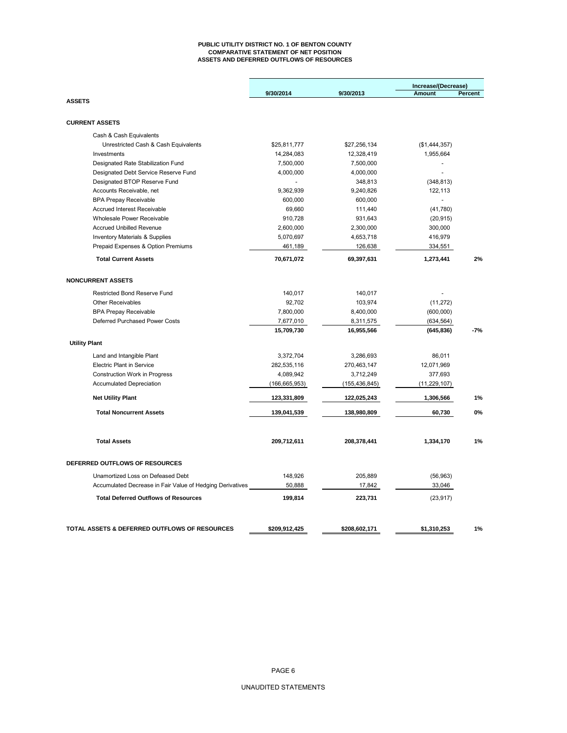#### **PUBLIC UTILITY DISTRICT NO. 1 OF BENTON COUNTY COMPARATIVE STATEMENT OF NET POSITION ASSETS AND DEFERRED OUTFLOWS OF RESOURCES**

|                                                           |                 |                 | Increase/(Decrease) |         |
|-----------------------------------------------------------|-----------------|-----------------|---------------------|---------|
| <b>ASSETS</b>                                             | 9/30/2014       | 9/30/2013       | Amount              | Percent |
|                                                           |                 |                 |                     |         |
| <b>CURRENT ASSETS</b>                                     |                 |                 |                     |         |
| Cash & Cash Equivalents                                   |                 |                 |                     |         |
| Unrestricted Cash & Cash Equivalents                      | \$25,811,777    | \$27,256,134    | (\$1,444,357)       |         |
| Investments                                               | 14,284,083      | 12,328,419      | 1,955,664           |         |
| Designated Rate Stabilization Fund                        | 7,500,000       | 7,500,000       | ÷,                  |         |
| Designated Debt Service Reserve Fund                      | 4,000,000       | 4,000,000       |                     |         |
| Designated BTOP Reserve Fund                              |                 | 348,813         | (348, 813)          |         |
| Accounts Receivable, net                                  | 9,362,939       | 9,240,826       | 122,113             |         |
| <b>BPA Prepay Receivable</b>                              | 600,000         | 600,000         | Ξ                   |         |
| <b>Accrued Interest Receivable</b>                        | 69,660          | 111,440         | (41,780)            |         |
| Wholesale Power Receivable                                | 910,728         | 931,643         | (20, 915)           |         |
| <b>Accrued Unbilled Revenue</b>                           | 2,600,000       | 2,300,000       | 300,000             |         |
| <b>Inventory Materials &amp; Supplies</b>                 | 5,070,697       | 4,653,718       | 416,979             |         |
| Prepaid Expenses & Option Premiums                        | 461,189         | 126,638         | 334,551             |         |
| <b>Total Current Assets</b>                               | 70,671,072      | 69,397,631      | 1,273,441           | 2%      |
| <b>NONCURRENT ASSETS</b>                                  |                 |                 |                     |         |
| <b>Restricted Bond Reserve Fund</b>                       | 140,017         | 140,017         |                     |         |
| <b>Other Receivables</b>                                  | 92,702          | 103,974         | (11, 272)           |         |
| <b>BPA Prepay Receivable</b>                              | 7,800,000       | 8,400,000       | (600,000)           |         |
| Deferred Purchased Power Costs                            | 7,677,010       | 8,311,575       | (634, 564)          |         |
|                                                           | 15,709,730      | 16,955,566      | (645, 836)          | $-7%$   |
| <b>Utility Plant</b>                                      |                 |                 |                     |         |
| Land and Intangible Plant                                 | 3,372,704       | 3,286,693       | 86,011              |         |
| <b>Electric Plant in Service</b>                          | 282,535,116     | 270,463,147     | 12,071,969          |         |
| <b>Construction Work in Progress</b>                      | 4,089,942       | 3,712,249       | 377,693             |         |
| <b>Accumulated Depreciation</b>                           | (166, 665, 953) | (155, 436, 845) | (11, 229, 107)      |         |
| <b>Net Utility Plant</b>                                  | 123,331,809     | 122,025,243     | 1,306,566           | 1%      |
| <b>Total Noncurrent Assets</b>                            | 139,041,539     | 138,980,809     | 60,730              | 0%      |
|                                                           |                 |                 |                     |         |
| <b>Total Assets</b>                                       | 209,712,611     | 208,378,441     | 1,334,170           | 1%      |
| DEFERRED OUTFLOWS OF RESOURCES                            |                 |                 |                     |         |
| Unamortized Loss on Defeased Debt                         | 148,926         | 205,889         | (56, 963)           |         |
| Accumulated Decrease in Fair Value of Hedging Derivatives | 50,888          | 17,842          | 33,046              |         |
| <b>Total Deferred Outflows of Resources</b>               | 199,814         | 223,731         | (23, 917)           |         |
| TOTAL ASSETS & DEFERRED OUTFLOWS OF RESOURCES             |                 |                 |                     | 1%      |
|                                                           | \$209,912,425   | \$208,602,171   | \$1,310,253         |         |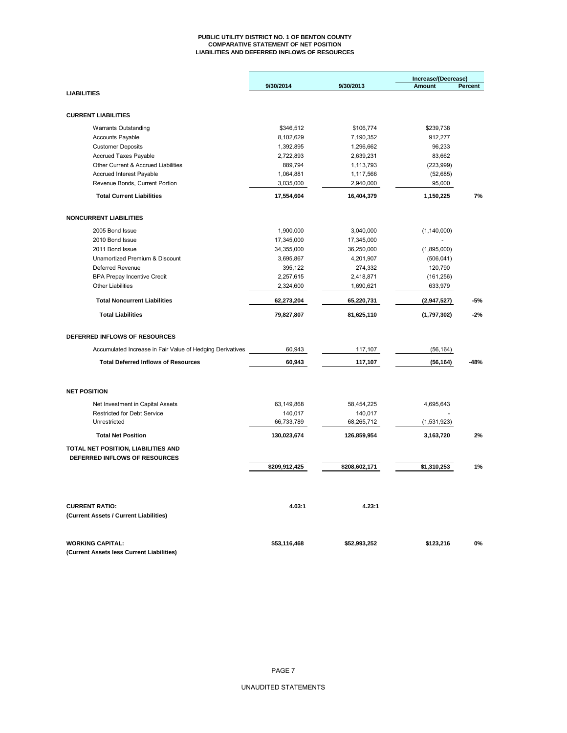#### **PUBLIC UTILITY DISTRICT NO. 1 OF BENTON COUNTY COMPARATIVE STATEMENT OF NET POSITION LIABILITIES AND DEFERRED INFLOWS OF RESOURCES**

|                                                                 |               |               | Increase/(Decrease) |         |
|-----------------------------------------------------------------|---------------|---------------|---------------------|---------|
|                                                                 | 9/30/2014     | 9/30/2013     | <b>Amount</b>       | Percent |
| <b>LIABILITIES</b>                                              |               |               |                     |         |
| <b>CURRENT LIABILITIES</b>                                      |               |               |                     |         |
| <b>Warrants Outstanding</b>                                     | \$346,512     | \$106,774     | \$239,738           |         |
| <b>Accounts Payable</b>                                         | 8,102,629     | 7,190,352     | 912,277             |         |
| <b>Customer Deposits</b>                                        | 1,392,895     | 1,296,662     | 96,233              |         |
| Accrued Taxes Payable                                           | 2,722,893     | 2,639,231     | 83,662              |         |
| Other Current & Accrued Liabilities                             | 889,794       | 1,113,793     | (223, 999)          |         |
| <b>Accrued Interest Payable</b>                                 | 1,064,881     | 1,117,566     | (52, 685)           |         |
| Revenue Bonds, Current Portion                                  | 3,035,000     | 2,940,000     | 95,000              |         |
| <b>Total Current Liabilities</b>                                | 17,554,604    | 16,404,379    | 1,150,225           | 7%      |
| <b>NONCURRENT LIABILITIES</b>                                   |               |               |                     |         |
| 2005 Bond Issue                                                 | 1,900,000     | 3,040,000     | (1, 140, 000)       |         |
| 2010 Bond Issue                                                 | 17,345,000    | 17,345,000    |                     |         |
| 2011 Bond Issue                                                 | 34,355,000    | 36,250,000    | (1,895,000)         |         |
| Unamortized Premium & Discount                                  | 3,695,867     | 4,201,907     | (506, 041)          |         |
| <b>Deferred Revenue</b>                                         | 395,122       | 274,332       | 120,790             |         |
| <b>BPA Prepay Incentive Credit</b>                              | 2,257,615     | 2,418,871     | (161, 256)          |         |
| <b>Other Liabilities</b>                                        | 2,324,600     | 1,690,621     | 633,979             |         |
| <b>Total Noncurrent Liabilities</b>                             | 62,273,204    | 65,220,731    | (2,947,527)         | -5%     |
| <b>Total Liabilities</b>                                        | 79,827,807    | 81,625,110    | (1,797,302)         | $-2%$   |
| DEFERRED INFLOWS OF RESOURCES                                   |               |               |                     |         |
| Accumulated Increase in Fair Value of Hedging Derivatives       | 60,943        | 117,107       | (56, 164)           |         |
| <b>Total Deferred Inflows of Resources</b>                      | 60,943        | 117,107       | (56, 164)           | -48%    |
| <b>NET POSITION</b>                                             |               |               |                     |         |
| Net Investment in Capital Assets                                | 63,149,868    | 58,454,225    | 4,695,643           |         |
| <b>Restricted for Debt Service</b>                              | 140,017       | 140,017       |                     |         |
| Unrestricted                                                    | 66,733,789    | 68,265,712    | (1,531,923)         |         |
| <b>Total Net Position</b>                                       | 130,023,674   | 126,859,954   | 3,163,720           | 2%      |
| TOTAL NET POSITION, LIABILITIES AND                             |               |               |                     |         |
| DEFERRED INFLOWS OF RESOURCES                                   |               |               |                     |         |
|                                                                 | \$209,912,425 | \$208,602,171 | \$1,310,253         | 1%      |
|                                                                 |               |               |                     |         |
| <b>CURRENT RATIO:</b><br>(Current Assets / Current Liabilities) | 4.03:1        | 4.23:1        |                     |         |
| <b>WORKING CAPITAL:</b>                                         | \$53,116,468  | \$52,993,252  | \$123,216           | 0%      |
| (Current Assets less Current Liabilities)                       |               |               |                     |         |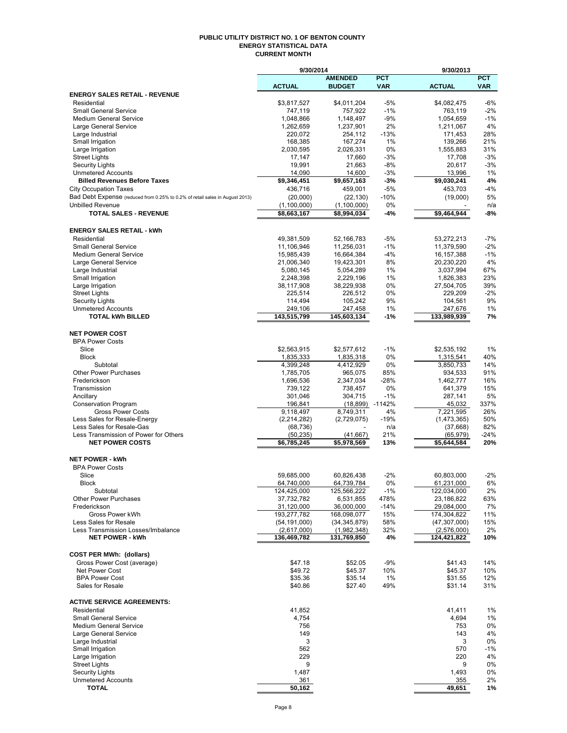#### **PUBLIC UTILITY DISTRICT NO. 1 OF BENTON COUNTY ENERGY STATISTICAL DATA CURRENT MONTH**

|                                                                              | 9/30/2014                 |                           |              | 9/30/2013                 |                |
|------------------------------------------------------------------------------|---------------------------|---------------------------|--------------|---------------------------|----------------|
|                                                                              |                           | <b>AMENDED</b>            | <b>PCT</b>   |                           | <b>PCT</b>     |
|                                                                              | <b>ACTUAL</b>             | <b>BUDGET</b>             | <b>VAR</b>   | <b>ACTUAL</b>             | <b>VAR</b>     |
| <b>ENERGY SALES RETAIL - REVENUE</b>                                         |                           |                           |              |                           |                |
| Residential<br><b>Small General Service</b>                                  | \$3,817,527<br>747,119    | \$4,011,204<br>757,922    | -5%<br>$-1%$ | \$4,082,475<br>763,119    | $-6%$<br>$-2%$ |
| Medium General Service                                                       | 1,048,866                 | 1,148,497                 | -9%          | 1,054,659                 | $-1%$          |
| Large General Service                                                        | 1,262,659                 | 1,237,901                 | 2%           | 1,211,067                 | 4%             |
| Large Industrial                                                             | 220,072                   | 254,112                   | $-13%$       | 171,453                   | 28%            |
| Small Irrigation                                                             | 168,385                   | 167,274                   | 1%           | 139,266                   | 21%            |
| Large Irrigation                                                             | 2,030,595                 | 2,026,331                 | 0%           | 1,555,883                 | 31%            |
| <b>Street Lights</b>                                                         | 17,147                    | 17,660                    | -3%          | 17,708                    | $-3%$          |
| <b>Security Lights</b>                                                       | 19,991                    | 21,663                    | -8%          | 20,617                    | $-3%$          |
| <b>Unmetered Accounts</b>                                                    | 14,090                    | 14,600                    | $-3%$        | 13,996                    | 1%             |
| <b>Billed Revenues Before Taxes</b>                                          | \$9,346,451               | \$9,657,163               | -3%          | \$9,030,241               | 4%             |
| <b>City Occupation Taxes</b>                                                 | 436,716                   | 459,001                   | -5%          | 453,703                   | -4%            |
| Bad Debt Expense (reduced from 0.25% to 0.2% of retail sales in August 2013) | (20,000)                  | (22, 130)                 | $-10%$       | (19,000)                  | 5%             |
| <b>Unbilled Revenue</b>                                                      | (1, 100, 000)             | (1,100,000)               | 0%           |                           | n/a            |
| <b>TOTAL SALES - REVENUE</b>                                                 | \$8,663,167               | \$8,994,034               | -4%          | \$9,464,944               | -8%            |
|                                                                              |                           |                           |              |                           |                |
| <b>ENERGY SALES RETAIL - kWh</b><br>Residential                              | 49,381,509                | 52,166,783                | -5%          | 53,272,213                | $-7%$          |
| <b>Small General Service</b>                                                 | 11,106,946                | 11,256,031                | $-1%$        | 11,379,590                | $-2%$          |
| <b>Medium General Service</b>                                                | 15,985,439                | 16,664,384                | $-4%$        | 16, 157, 388              | $-1%$          |
| Large General Service                                                        | 21,006,340                | 19,423,301                | 8%           | 20,230,220                | 4%             |
| Large Industrial                                                             | 5,080,145                 | 5,054,289                 | 1%           | 3,037,994                 | 67%            |
| Small Irrigation                                                             | 2,248,398                 | 2,229,196                 | 1%           | 1,826,383                 | 23%            |
| Large Irrigation                                                             | 38,117,908                | 38,229,938                | 0%           | 27,504,705                | 39%            |
| <b>Street Lights</b>                                                         | 225,514                   | 226,512                   | 0%           | 229,209                   | $-2%$          |
| <b>Security Lights</b>                                                       | 114,494                   | 105,242                   | 9%           | 104,561                   | 9%             |
| <b>Unmetered Accounts</b>                                                    | 249,106                   | 247,458                   | 1%           | 247,676                   | 1%             |
| <b>TOTAL kWh BILLED</b>                                                      | 143,515,799               | 145,603,134               | -1%          | 133,989,939               | 7%             |
|                                                                              |                           |                           |              |                           |                |
| <b>NET POWER COST</b>                                                        |                           |                           |              |                           |                |
| <b>BPA Power Costs</b>                                                       |                           |                           |              |                           |                |
| Slice                                                                        | \$2,563,915               | \$2,577,612               | $-1%$        | \$2,535,192               | 1%             |
| <b>Block</b><br>Subtotal                                                     | 1,835,333<br>4,399,248    | 1,835,318<br>4,412,929    | 0%<br>0%     | 1,315,541<br>3,850,733    | 40%<br>14%     |
| <b>Other Power Purchases</b>                                                 | 1,785,705                 | 965,075                   | 85%          | 934,533                   | 91%            |
| Frederickson                                                                 | 1,696,536                 | 2,347,034                 | $-28%$       | 1,462,777                 | 16%            |
| Transmission                                                                 | 739,122                   | 738,457                   | 0%           | 641,379                   | 15%            |
| Ancillary                                                                    | 301,046                   | 304,715                   | $-1%$        | 287,141                   | 5%             |
| <b>Conservation Program</b>                                                  | 196,841                   | (18,899) -1142%           |              | 45,032                    | 337%           |
| <b>Gross Power Costs</b>                                                     | 9,118,497                 | 8,749,311                 | 4%           | 7,221,595                 | 26%            |
| Less Sales for Resale-Energy                                                 | (2,214,282)               | (2,729,075)               | $-19%$       | (1,473,365)               | 50%            |
| Less Sales for Resale-Gas                                                    | (68, 736)                 |                           | n/a          | (37,668)                  | 82%            |
| Less Transmission of Power for Others                                        | (50, 235)                 | (41, 667)                 | 21%          | (65, 979)                 | $-24%$         |
| <b>NET POWER COSTS</b>                                                       | \$6,785,245               | \$5,978,569               | 13%          | \$5,644,584               | 20%            |
|                                                                              |                           |                           |              |                           |                |
| <b>NET POWER - kWh</b>                                                       |                           |                           |              |                           |                |
| <b>BPA Power Costs</b>                                                       |                           |                           |              |                           |                |
| Slice                                                                        | 59,685,000                | 60,826,438                | $-2%$        | 60,803,000                | $-2%$          |
| RIOCK<br>Subtotal                                                            | 64,740,000<br>124,425,000 | 64,739,784<br>125,566,222 | U%<br>$-1\%$ | 61,231,000<br>122,034,000 | 6%<br>2%       |
| <b>Other Power Purchases</b>                                                 | 37,732,782                | 6,531,855                 | 478%         | 23,186,822                | 63%            |
| Frederickson                                                                 | 31,120,000                | 36,000,000                | $-14%$       | 29,084,000                | 7%             |
| Gross Power kWh                                                              | 193,277,782               | 168,098,077               | 15%          | 174,304,822               | 11%            |
| Less Sales for Resale                                                        | (54, 191, 000)            | (34, 345, 879)            | 58%          | (47, 307, 000)            | 15%            |
| Less Transmission Losses/Imbalance                                           | (2,617,000)               | (1,982,348)               | 32%          | (2,576,000)               | 2%             |
| <b>NET POWER - kWh</b>                                                       | 136,469,782               | 131,769,850               | 4%           | 124,421,822               | 10%            |
|                                                                              |                           |                           |              |                           |                |
| <b>COST PER MWh: (dollars)</b>                                               |                           |                           |              |                           |                |
| Gross Power Cost (average)                                                   | \$47.18                   | \$52.05                   | -9%          | \$41.43                   | 14%            |
| Net Power Cost                                                               | \$49.72                   | \$45.37                   | 10%          | \$45.37                   | 10%            |
| <b>BPA Power Cost</b>                                                        | \$35.36                   | \$35.14                   | 1%           | \$31.55                   | 12%            |
| Sales for Resale                                                             | \$40.86                   | \$27.40                   | 49%          | \$31.14                   | 31%            |
|                                                                              |                           |                           |              |                           |                |
| <b>ACTIVE SERVICE AGREEMENTS:</b>                                            |                           |                           |              |                           |                |
| Residential<br><b>Small General Service</b>                                  | 41,852<br>4,754           |                           |              | 41,411<br>4,694           | $1\%$<br>1%    |
| <b>Medium General Service</b>                                                | 756                       |                           |              | 753                       | 0%             |
| Large General Service                                                        | 149                       |                           |              | 143                       | 4%             |
| Large Industrial                                                             | 3                         |                           |              | 3                         | 0%             |
| Small Irrigation                                                             | 562                       |                           |              | 570                       | $-1%$          |
| Large Irrigation                                                             | 229                       |                           |              | 220                       | 4%             |
| <b>Street Lights</b>                                                         | 9                         |                           |              | 9                         | 0%             |
| <b>Security Lights</b>                                                       | 1,487                     |                           |              | 1,493                     | 0%             |
| <b>Unmetered Accounts</b>                                                    | 361                       |                           |              | 355                       | 2%             |
| <b>TOTAL</b>                                                                 | 50,162                    |                           |              | 49,651                    | 1%             |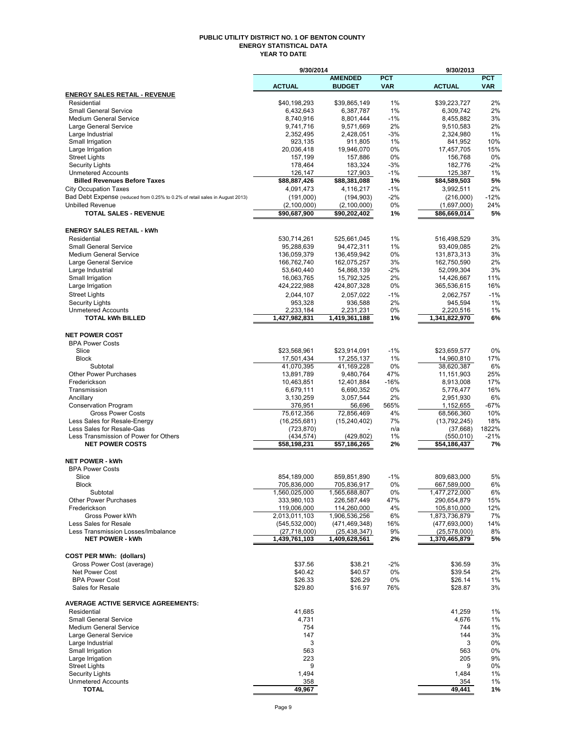#### **PUBLIC UTILITY DISTRICT NO. 1 OF BENTON COUNTY ENERGY STATISTICAL DATA YEAR TO DATE**

|                                                                              | 9/30/2014                    |                               |             | 9/30/2013                    |              |
|------------------------------------------------------------------------------|------------------------------|-------------------------------|-------------|------------------------------|--------------|
|                                                                              |                              | <b>AMENDED</b>                | <b>PCT</b>  |                              | <b>PCT</b>   |
|                                                                              | <b>ACTUAL</b>                | <b>BUDGET</b>                 | <b>VAR</b>  | <b>ACTUAL</b>                | <b>VAR</b>   |
| <b>ENERGY SALES RETAIL - REVENUE</b><br>Residential                          | \$40,198,293                 | \$39,865,149                  | 1%          | \$39,223,727                 | 2%           |
| <b>Small General Service</b>                                                 | 6,432,643                    | 6,387,787                     | 1%          | 6,309,742                    | 2%           |
| <b>Medium General Service</b>                                                | 8,740,916                    | 8,801,444                     | $-1%$       | 8,455,882                    | 3%           |
| Large General Service                                                        | 9,741,716                    | 9,571,669                     | 2%          | 9,510,583                    | 2%           |
| Large Industrial                                                             | 2,352,495                    | 2,428,051                     | $-3%$       | 2,324,980                    | 1%           |
| Small Irrigation<br>Large Irrigation                                         | 923,135<br>20,036,418        | 911,805<br>19,946,070         | 1%<br>$0\%$ | 841,952<br>17,457,705        | 10%<br>15%   |
| <b>Street Lights</b>                                                         | 157,199                      | 157,886                       | 0%          | 156,768                      | 0%           |
| <b>Security Lights</b>                                                       | 178,464                      | 183,324                       | -3%         | 182,776                      | $-2%$        |
| <b>Unmetered Accounts</b>                                                    | 126,147                      | 127,903                       | $-1%$       | 125,387                      | 1%           |
| <b>Billed Revenues Before Taxes</b>                                          | \$88,887,426                 | \$88,381,088                  | 1%          | \$84,589,503                 | 5%           |
| <b>City Occupation Taxes</b>                                                 | 4,091,473                    | 4,116,217                     | $-1%$       | 3,992,511                    | 2%           |
| Bad Debt Expense (reduced from 0.25% to 0.2% of retail sales in August 2013) | (191,000)                    | (194, 903)                    | $-2\%$      | (216,000)                    | $-12%$       |
| <b>Unbilled Revenue</b><br><b>TOTAL SALES - REVENUE</b>                      | (2,100,000)<br>\$90,687,900  | (2, 100, 000)<br>\$90,202,402 | 0%<br>1%    | (1,697,000)<br>\$86,669,014  | 24%<br>5%    |
|                                                                              |                              |                               |             |                              |              |
| <b>ENERGY SALES RETAIL - kWh</b>                                             |                              |                               |             |                              |              |
| Residential                                                                  | 530,714,261                  | 525,661,045                   | 1%          | 516,498,529                  | 3%           |
| <b>Small General Service</b>                                                 | 95,288,639                   | 94,472,311                    | 1%          | 93,409,085                   | 2%           |
| <b>Medium General Service</b>                                                | 136,059,379                  | 136,459,942                   | 0%          | 131,873,313                  | 3%           |
| Large General Service                                                        | 166,762,740                  | 162,075,257                   | 3%          | 162,750,590                  | 2%           |
| Large Industrial                                                             | 53,640,440                   | 54,868,139                    | $-2%$       | 52,099,304                   | 3%           |
| Small Irrigation                                                             | 16,063,765                   | 15,792,325                    | 2%          | 14,426,667                   | 11%<br>16%   |
| Large Irrigation                                                             | 424,222,988                  | 424,807,328                   | 0%          | 365,536,615                  |              |
| <b>Street Lights</b><br><b>Security Lights</b>                               | 2,044,107<br>953,328         | 2.057.022<br>936,588          | $-1%$<br>2% | 2.062.757<br>945,594         | $-1%$<br>1%  |
| <b>Unmetered Accounts</b>                                                    | 2,233,184                    | 2,231,231                     | 0%          | 2,220,516                    | 1%           |
| <b>TOTAL kWh BILLED</b>                                                      | 1,427,982,831                | 1,419,361,188                 | 1%          | 1,341,822,970                | 6%           |
|                                                                              |                              |                               |             |                              |              |
| <b>NET POWER COST</b>                                                        |                              |                               |             |                              |              |
| <b>BPA Power Costs</b>                                                       |                              |                               |             |                              |              |
| Slice<br><b>Block</b>                                                        | \$23,568,961<br>17,501,434   | \$23,914,091                  | $-1%$<br>1% | \$23,659,577                 | 0%<br>17%    |
| Subtotal                                                                     | 41,070,395                   | 17,255,137<br>41,169,228      | 0%          | 14,960,810<br>38,620,387     | 6%           |
| <b>Other Power Purchases</b>                                                 | 13,891,789                   | 9,480,764                     | 47%         | 11,151,903                   | 25%          |
| Frederickson                                                                 | 10,463,851                   | 12,401,884                    | $-16%$      | 8,913,008                    | 17%          |
| Transmission                                                                 | 6,679,111                    | 6,690,352                     | 0%          | 5,776,477                    | 16%          |
| Ancillary                                                                    | 3,130,259                    | 3,057,544                     | 2%          | 2,951,930                    | 6%           |
| <b>Conservation Program</b>                                                  | 376,951                      | 56,696                        | 565%        | 1,152,655                    | -67%         |
| <b>Gross Power Costs</b>                                                     | 75,612,356                   | 72,856,469                    | 4%          | 68,566,360                   | 10%          |
| Less Sales for Resale-Energy<br>Less Sales for Resale-Gas                    | (16, 255, 681)<br>(723, 870) | (15, 240, 402)                | 7%<br>n/a   | (13,792,245)<br>(37,668)     | 18%<br>1822% |
| Less Transmission of Power for Others                                        | (434, 574)                   | (429, 802)                    | 1%          | (550, 010)                   | $-21%$       |
| <b>NET POWER COSTS</b>                                                       | \$58,198,231                 | \$57,186,265                  | 2%          | \$54,186,437                 | 7%           |
|                                                                              |                              |                               |             |                              |              |
| <b>NET POWER - kWh</b>                                                       |                              |                               |             |                              |              |
| <b>BPA Power Costs</b>                                                       |                              |                               |             |                              |              |
| Slice<br><b>Block</b>                                                        | 854,189,000<br>705,836,000   | 859,851,890                   | $-1%$       | 809,683,000                  | 5%           |
| Subtotal                                                                     | 1,560,025,000                | 705,836,917<br>1,565,688,807  | 0%<br>0%    | 667,589,000<br>1,477,272,000 | 6%<br>6%     |
| <b>Other Power Purchases</b>                                                 | 333,980,103                  | 226,587,449                   | 47%         | 290,654,879                  | 15%          |
| Frederickson                                                                 | 119,006,000                  | 114,260,000                   | 4%          | 105,810,000                  | 12%          |
| Gross Power kWh                                                              | 2,013,011,103                | 1,906,536,256                 | 6%          | 1,873,736,879                | 7%           |
| Less Sales for Resale                                                        | (545, 532, 000)              | (471, 469, 348)               | 16%         | (477, 693, 000)              | 14%          |
| Less Transmission Losses/Imbalance                                           | (27,718,000)                 | (25, 438, 347)                | 9%          | (25,578,000)                 | 8%           |
| <b>NET POWER - kWh</b>                                                       | 1,439,761,103                | 1,409,628,561                 | 2%          | 1,370,465,879                | 5%           |
| <b>COST PER MWh: (dollars)</b>                                               |                              |                               |             |                              |              |
| Gross Power Cost (average)                                                   | \$37.56                      | \$38.21                       | $-2%$       | \$36.59                      | 3%           |
| Net Power Cost                                                               | \$40.42                      | \$40.57                       | 0%          | \$39.54                      | 2%           |
| <b>BPA Power Cost</b>                                                        | \$26.33                      | \$26.29                       | 0%          | \$26.14                      | 1%           |
| Sales for Resale                                                             | \$29.80                      | \$16.97                       | 76%         | \$28.87                      | 3%           |
|                                                                              |                              |                               |             |                              |              |
| <b>AVERAGE ACTIVE SERVICE AGREEMENTS:</b><br>Residential                     |                              |                               |             |                              |              |
| <b>Small General Service</b>                                                 | 41,685<br>4,731              |                               |             | 41,259<br>4,676              | 1%<br>1%     |
| <b>Medium General Service</b>                                                | 754                          |                               |             | 744                          | 1%           |
| Large General Service                                                        | 147                          |                               |             | 144                          | 3%           |
| Large Industrial                                                             | 3                            |                               |             | 3                            | 0%           |
| Small Irrigation                                                             | 563                          |                               |             | 563                          | 0%           |
| Large Irrigation                                                             | 223                          |                               |             | 205                          | 9%           |
| <b>Street Lights</b>                                                         | 9                            |                               |             | 9                            | 0%           |
| <b>Security Lights</b>                                                       | 1,494                        |                               |             | 1,484                        | 1%           |
| <b>Unmetered Accounts</b><br><b>TOTAL</b>                                    | 358<br>49,967                |                               |             | 354<br>49,441                | 1%<br>1%     |
|                                                                              |                              |                               |             |                              |              |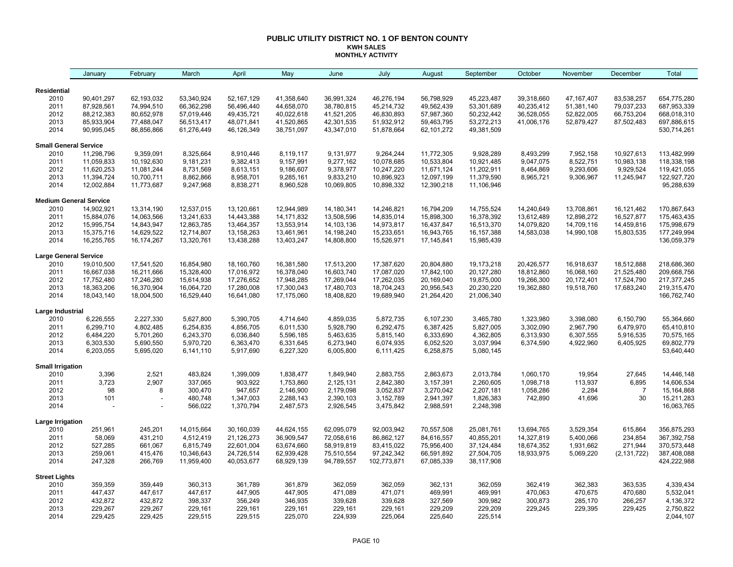#### **PUBLIC UTILITY DISTRICT NO. 1 OF BENTON COUNTY KWH SALES MONTHLY ACTIVITY**

|                               | January                  | February                 | March                    | April                    | May                      | June                     | July                     | August                   | September                | October                | November               | December               | Total                      |
|-------------------------------|--------------------------|--------------------------|--------------------------|--------------------------|--------------------------|--------------------------|--------------------------|--------------------------|--------------------------|------------------------|------------------------|------------------------|----------------------------|
| Residential                   |                          |                          |                          |                          |                          |                          |                          |                          |                          |                        |                        |                        |                            |
| 2010                          | 90,401,297               | 62,193,032               | 53,340,924               | 52,167,129               | 41,358,640               | 36,991,324               | 46,276,194               | 56,798,929               | 45,223,487               | 39,318,660             | 47, 167, 407           | 83,538,257             | 654,775,280                |
| 2011                          | 87,928,561               | 74,994,510               | 66,362,298               | 56,496,440               | 44,658,070               | 38,780,815               | 45,214,732               | 49,562,439               | 53,301,689               | 40,235,412             | 51,381,140             | 79,037,233             | 687,953,339                |
| 2012                          | 88,212,383               | 80,652,978               | 57,019,446               | 49,435,721               | 40,022,618               | 41,521,205               | 46,830,893               | 57,987,360               | 50,232,442               | 36,528,055             | 52,822,005             | 66,753,204             | 668,018,310                |
| 2013                          | 85,933,904               | 77,488,047               | 56,513,417               | 48,071,841               | 41,520,865               | 42,301,535               | 51,932,912               | 59,463,795               | 53,272,213               | 41,006,176             | 52,879,427             | 87,502,483             | 697,886,615                |
| 2014                          | 90,995,045               | 86,856,866               | 61,276,449               | 46,126,349               | 38,751,097               | 43,347,010               | 51,878,664               | 62,101,272               | 49,381,509               |                        |                        |                        | 530,714,261                |
| <b>Small General Service</b>  |                          |                          |                          |                          |                          |                          |                          |                          |                          |                        |                        |                        |                            |
| 2010                          | 11,298,796               | 9,359,091                | 8,325,664                | 8,910,446                | 8,119,117                | 9,131,977                | 9,264,244                | 11,772,305               | 9,928,289                | 8,493,299              | 7,952,158              | 10,927,613             | 113,482,999                |
| 2011                          | 11,059,833               | 10,192,630               | 9,181,231                | 9,382,413                | 9,157,991                | 9,277,162                | 10,078,685               | 10,533,804               | 10,921,485               | 9,047,075              | 8,522,751              | 10,983,138             | 118,338,198                |
| 2012                          | 11,620,253               | 11,081,244               | 8,731,569                | 8,613,151                | 9,186,607                | 9,378,977                | 10,247,220               | 11,671,124               | 11,202,911               | 8,464,869              | 9,293,606              | 9,929,524              | 119,421,055                |
| 2013                          | 11,394,724               | 10,700,711               | 8,862,866                | 8,958,701                | 9,285,161                | 9,833,210                | 10,896,923               | 12,097,199               | 11,379,590               | 8,965,721              | 9,306,967              | 11,245,947             | 122,927,720                |
| 2014                          | 12,002,884               | 11,773,687               | 9,247,968                | 8,838,271                | 8,960,528                | 10,069,805               | 10,898,332               | 12,390,218               | 11,106,946               |                        |                        |                        | 95,288,639                 |
| <b>Medium General Service</b> |                          |                          |                          |                          |                          |                          |                          |                          |                          |                        |                        |                        |                            |
| 2010                          | 14,902,921               | 13,314,190               | 12,537,015               | 13,120,661               | 12,944,989               | 14,180,341               | 14,246,821               | 16,794,209               | 14,755,524               | 14,240,649             | 13,708,861             | 16,121,462             | 170,867,643                |
| 2011                          | 15,884,076               | 14,063,566               | 13,241,633               | 14,443,388               | 14, 171, 832             | 13,508,596               | 14,835,014               | 15,898,300               | 16,378,392               | 13,612,489             | 12,898,272             | 16,527,877             | 175,463,435                |
| 2012                          | 15,995,754               | 14,843,947               | 12,863,785               | 13,464,357               | 13,553,914               | 14,103,136               | 14,973,817               | 16,437,847               | 16,513,370               | 14,079,820             | 14,709,116             | 14,459,816             | 175,998,679                |
| 2013                          | 15,375,716               | 14,629,522               | 12,714,807               | 13,158,263               | 13,461,961               | 14,198,240               | 15,233,651               | 16,943,765               | 16, 157, 388             | 14,583,038             | 14,990,108             | 15,803,535             | 177,249,994                |
| 2014                          | 16,255,765               | 16,174,267               | 13,320,761               | 13,438,288               | 13,403,247               | 14,808,800               | 15,526,971               | 17,145,841               | 15,985,439               |                        |                        |                        | 136,059,379                |
| <b>Large General Service</b>  |                          |                          |                          |                          |                          |                          |                          |                          |                          |                        |                        |                        |                            |
| 2010                          | 19,010,500               | 17,541,520               | 16,854,980               | 18,160,760               | 16,381,580               | 17,513,200               | 17,387,620               | 20,804,880               | 19,173,218               | 20,426,577             | 16,918,637             | 18,512,888             | 218,686,360                |
| 2011                          | 16,667,038               | 16,211,666               | 15,328,400               | 17,016,972               | 16,378,040               | 16,603,740               | 17,087,020               | 17,842,100               | 20,127,280               | 18,812,860             | 16,068,160             | 21,525,480             | 209,668,756                |
| 2012                          | 17,752,480               | 17,246,280               | 15,614,938               | 17,276,652               | 17,948,285               | 17,269,044               | 17,262,035               | 20,169,040               | 19,875,000               | 19,266,300             | 20,172,401             | 17,524,790             | 217, 377, 245              |
| 2013<br>2014                  | 18,363,206<br>18,043,140 | 16,370,904<br>18,004,500 | 16,064,720<br>16,529,440 | 17,280,008<br>16,641,080 | 17,300,043<br>17,175,060 | 17,480,703<br>18,408,820 | 18,704,243<br>19,689,940 | 20,956,543<br>21,264,420 | 20,230,220<br>21,006,340 | 19,362,880             | 19,518,760             | 17,683,240             | 219,315,470<br>166,762,740 |
|                               |                          |                          |                          |                          |                          |                          |                          |                          |                          |                        |                        |                        |                            |
| Large Industrial              |                          | 2,227,330                | 5,627,800                |                          |                          | 4,859,035                | 5,872,735                |                          |                          |                        |                        |                        | 55,364,660                 |
| 2010<br>2011                  | 6,226,555<br>6,299,710   | 4,802,485                | 6,254,835                | 5,390,705<br>4,856,705   | 4,714,640<br>6,011,530   | 5,928,790                | 6,292,475                | 6,107,230<br>6,387,425   | 3,465,780<br>5,827,005   | 1,323,980<br>3,302,090 | 3,398,080<br>2,967,790 | 6,150,790<br>6,479,970 | 65,410,810                 |
| 2012                          | 6,484,220                | 5,701,260                | 6,243,370                | 6,036,840                | 5,596,185                | 5,463,635                | 5,815,140                | 6,333,690                | 4,362,805                | 6,313,930              | 6,307,555              | 5,916,535              | 70,575,165                 |
| 2013                          | 6,303,530                | 5,690,550                | 5,970,720                | 6,363,470                | 6,331,645                | 6,273,940                | 6,074,935                | 6,052,520                | 3,037,994                | 6,374,590              | 4,922,960              | 6,405,925              | 69,802,779                 |
| 2014                          | 6,203,055                | 5,695,020                | 6,141,110                | 5,917,690                | 6,227,320                | 6,005,800                | 6,111,425                | 6,258,875                | 5,080,145                |                        |                        |                        | 53,640,440                 |
| <b>Small Irrigation</b>       |                          |                          |                          |                          |                          |                          |                          |                          |                          |                        |                        |                        |                            |
| 2010                          | 3,396                    | 2,521                    | 483,824                  | 1,399,009                | 1,838,477                | 1,849,940                | 2,883,755                | 2,863,673                | 2,013,784                | 1,060,170              | 19,954                 | 27,645                 | 14,446,148                 |
| 2011                          | 3,723                    | 2,907                    | 337,065                  | 903,922                  | 1,753,860                | 2,125,131                | 2,842,380                | 3,157,391                | 2,260,605                | 1,098,718              | 113,937                | 6,895                  | 14,606,534                 |
| 2012                          | 98                       | 8                        | 300,470                  | 947,657                  | 2,146,900                | 2,179,098                | 3,052,837                | 3,270,042                | 2,207,181                | 1,058,286              | 2,284                  | $\overline{7}$         | 15,164,868                 |
| 2013                          | 101                      |                          | 480,748                  | 1,347,003                | 2,288,143                | 2,390,103                | 3,152,789                | 2,941,397                | 1,826,383                | 742,890                | 41,696                 | 30                     | 15,211,283                 |
| 2014                          |                          |                          | 566,022                  | 1,370,794                | 2,487,573                | 2,926,545                | 3,475,842                | 2,988,591                | 2,248,398                |                        |                        |                        | 16,063,765                 |
| <b>Large Irrigation</b>       |                          |                          |                          |                          |                          |                          |                          |                          |                          |                        |                        |                        |                            |
| 2010                          | 251,961                  | 245,201                  | 14,015,664               | 30,160,039               | 44,624,155               | 62,095,079               | 92,003,942               | 70,557,508               | 25,081,761               | 13,694,765             | 3,529,354              | 615,864                | 356,875,293                |
| 2011                          | 58,069                   | 431,210                  | 4,512,419                | 21,126,273               | 36,909,547               | 72,058,616               | 86,862,127               | 84,616,557               | 40,855,201               | 14,327,819             | 5,400,066              | 234,854                | 367,392,758                |
| 2012                          | 527,285                  | 661,067                  | 6,815,749                | 22,601,004               | 63,674,660               | 58,919,819               | 83,415,022               | 75,956,400               | 37, 124, 484             | 18,674,352             | 1,931,662              | 271,944                | 370,573,448                |
| 2013                          | 259,061                  | 415,476                  | 10,346,643               | 24,726,514               | 62,939,428               | 75,510,554               | 97,242,342               | 66,591,892               | 27,504,705               | 18,933,975             | 5,069,220              | (2, 131, 722)          | 387,408,088                |
| 2014                          | 247,328                  | 266,769                  | 11,959,400               | 40,053,677               | 68,929,139               | 94,789,557               | 102,773,871              | 67,085,339               | 38,117,908               |                        |                        |                        | 424,222,988                |
| <b>Street Lights</b>          |                          |                          |                          |                          |                          |                          |                          |                          |                          |                        |                        |                        |                            |
| 2010                          | 359,359                  | 359,449                  | 360,313                  | 361,789                  | 361,879                  | 362,059                  | 362,059                  | 362,131                  | 362,059                  | 362,419                | 362,383                | 363,535                | 4,339,434                  |
| 2011                          | 447,437                  | 447,617                  | 447,617                  | 447,905                  | 447,905                  | 471,089                  | 471,071                  | 469,991                  | 469,991                  | 470,063                | 470,675                | 470,680                | 5,532,041                  |
| 2012                          | 432,872                  | 432,872                  | 398,337                  | 356,249                  | 346,935                  | 339,628                  | 339,628                  | 327,569                  | 309,982                  | 300,873                | 285,170                | 266,257                | 4,136,372                  |
| 2013<br>2014                  | 229,267<br>229,425       | 229,267<br>229,425       | 229,161                  | 229,161                  | 229,161                  | 229,161<br>224,939       | 229,161                  | 229,209<br>225,640       | 229,209                  | 229,245                | 229,395                | 229,425                | 2,750,822                  |
|                               |                          |                          | 229,515                  | 229,515                  | 225,070                  |                          | 225,064                  |                          | 225,514                  |                        |                        |                        | 2,044,107                  |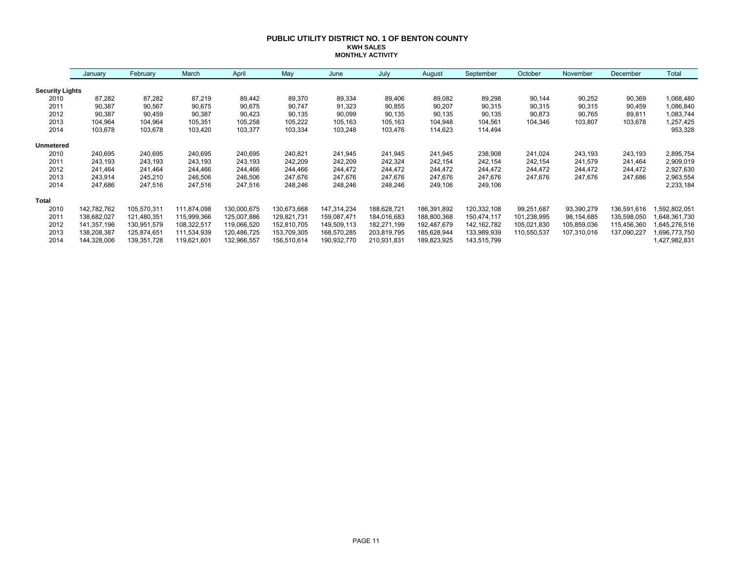#### **PUBLIC UTILITY DISTRICT NO. 1 OF BENTON COUNTY KWH SALES MONTHLY ACTIVITY**

|                        | January     | February    | March       | April       | May         | June        | July        | August      | September     | October     | November    | December    | Total         |
|------------------------|-------------|-------------|-------------|-------------|-------------|-------------|-------------|-------------|---------------|-------------|-------------|-------------|---------------|
| <b>Security Lights</b> |             |             |             |             |             |             |             |             |               |             |             |             |               |
| 2010                   | 87,282      | 87,282      | 87,219      | 89,442      | 89,370      | 89,334      | 89,406      | 89,082      | 89,298        | 90,144      | 90,252      | 90,369      | 1,068,480     |
| 2011                   | 90,387      | 90,567      | 90,675      | 90,675      | 90,747      | 91,323      | 90,855      | 90,207      | 90,315        | 90,315      | 90,315      | 90,459      | 1,086,840     |
| 2012                   | 90,387      | 90,459      | 90,387      | 90,423      | 90,135      | 90,099      | 90,135      | 90,135      | 90,135        | 90,873      | 90,765      | 89,811      | 1,083,744     |
| 2013                   | 104,964     | 104,964     | 105,351     | 105,258     | 105,222     | 105,163     | 105,163     | 104,948     | 104,561       | 104,346     | 103,807     | 103,678     | 1,257,425     |
| 2014                   | 103,678     | 103,678     | 103,420     | 103,377     | 103,334     | 103,248     | 103,476     | 114,623     | 114,494       |             |             |             | 953,328       |
| <b>Unmetered</b>       |             |             |             |             |             |             |             |             |               |             |             |             |               |
| 2010                   | 240,695     | 240,695     | 240,695     | 240,695     | 240,821     | 241,945     | 241,945     | 241,945     | 238,908       | 241,024     | 243,193     | 243,193     | 2,895,754     |
| 2011                   | 243,193     | 243,193     | 243,193     | 243,193     | 242,209     | 242,209     | 242,324     | 242,154     | 242,154       | 242,154     | 241,579     | 241,464     | 2,909,019     |
| 2012                   | 241.464     | 241,464     | 244,466     | 244,466     | 244,466     | 244,472     | 244,472     | 244,472     | 244,472       | 244,472     | 244,472     | 244,472     | 2,927,630     |
| 2013                   | 243,914     | 245,210     | 246,506     | 246,506     | 247,676     | 247,676     | 247,676     | 247,676     | 247,676       | 247,676     | 247,676     | 247,686     | 2,963,554     |
| 2014                   | 247,686     | 247,516     | 247,516     | 247,516     | 248,246     | 248,246     | 248,246     | 249,106     | 249,106       |             |             |             | 2,233,184     |
| Total                  |             |             |             |             |             |             |             |             |               |             |             |             |               |
| 2010                   | 142,782,762 | 105,570,311 | 111,874,098 | 130,000,675 | 130,673,668 | 147,314,234 | 188,628,721 | 186,391,892 | 120,332,108   | 99,251,687  | 93,390,279  | 136,591,616 | ,592,802,051  |
| 2011                   | 138,682,027 | 121,480,351 | 115,999,366 | 125,007,886 | 129,821,731 | 159,087,471 | 184,016,683 | 188,800,368 | 150,474,117   | 101,238,995 | 98,154,685  | 135,598,050 | 648,361,730   |
| 2012                   | 141,357,196 | 130,951,579 | 108,322,517 | 119,066,520 | 152,810,705 | 149,509,113 | 182,271,199 | 192,487,679 | 142, 162, 782 | 105,021,830 | 105,859,036 | 115,456,360 | 645,276,516   |
| 2013                   | 138,208,387 | 125,874,651 | 111,534,939 | 120,486,725 | 153,709,305 | 168,570,285 | 203,819,795 | 185,628,944 | 133,989,939   | 110,550,537 | 107,310,016 | 137,090,227 | .696,773,750  |
| 2014                   | 144,328,006 | 139,351,728 | 119,621,601 | 132,966,557 | 156,510,614 | 190,932,770 | 210,931,831 | 189,823,925 | 143,515,799   |             |             |             | 1,427,982,831 |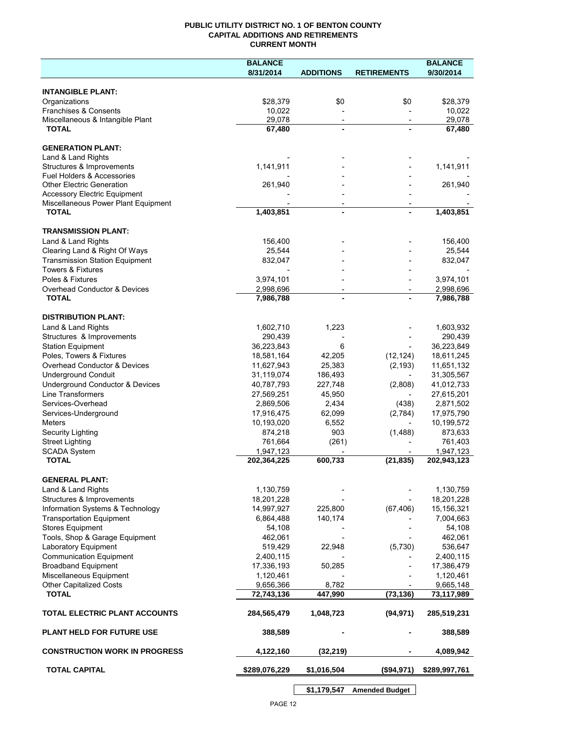## **PUBLIC UTILITY DISTRICT NO. 1 OF BENTON COUNTY CAPITAL ADDITIONS AND RETIREMENTS CURRENT MONTH**

|                                                      | <b>BALANCE</b>           |                          |                          | <b>BALANCE</b>           |
|------------------------------------------------------|--------------------------|--------------------------|--------------------------|--------------------------|
|                                                      | 8/31/2014                | <b>ADDITIONS</b>         | <b>RETIREMENTS</b>       | 9/30/2014                |
| <b>INTANGIBLE PLANT:</b>                             |                          |                          |                          |                          |
| Organizations                                        | \$28,379                 | \$0                      | \$0                      | \$28,379                 |
| Franchises & Consents                                | 10,022                   |                          |                          | 10,022                   |
| Miscellaneous & Intangible Plant                     | 29,078                   | $\overline{\phantom{a}}$ | $\overline{\phantom{a}}$ | 29,078                   |
| <b>TOTAL</b>                                         | 67,480                   | $\blacksquare$           |                          | 67,480                   |
|                                                      |                          |                          |                          |                          |
| <b>GENERATION PLANT:</b><br>Land & Land Rights       |                          |                          |                          |                          |
| Structures & Improvements                            | 1,141,911                |                          |                          | 1,141,911                |
| <b>Fuel Holders &amp; Accessories</b>                |                          |                          |                          |                          |
| <b>Other Electric Generation</b>                     | 261,940                  |                          |                          | 261,940                  |
| <b>Accessory Electric Equipment</b>                  |                          |                          |                          |                          |
| Miscellaneous Power Plant Equipment                  |                          |                          |                          |                          |
| <b>TOTAL</b>                                         | 1,403,851                | $\blacksquare$           |                          | 1,403,851                |
| <b>TRANSMISSION PLANT:</b>                           |                          |                          |                          |                          |
| Land & Land Rights                                   | 156,400                  |                          |                          | 156,400                  |
| Clearing Land & Right Of Ways                        | 25,544                   |                          |                          | 25,544                   |
| <b>Transmission Station Equipment</b>                | 832,047                  |                          |                          | 832,047                  |
| <b>Towers &amp; Fixtures</b>                         |                          |                          |                          |                          |
| Poles & Fixtures                                     | 3,974,101                |                          |                          | 3,974,101                |
| <b>Overhead Conductor &amp; Devices</b>              | 2,998,696                |                          |                          | 2,998,696                |
| <b>TOTAL</b>                                         | 7,986,788                |                          |                          | 7,986,788                |
|                                                      |                          |                          |                          |                          |
| <b>DISTRIBUTION PLANT:</b>                           |                          |                          |                          |                          |
| Land & Land Rights                                   | 1,602,710                | 1,223                    |                          | 1,603,932                |
| Structures & Improvements                            | 290,439                  |                          |                          | 290,439                  |
| <b>Station Equipment</b><br>Poles, Towers & Fixtures | 36,223,843               | 6                        |                          | 36,223,849               |
| Overhead Conductor & Devices                         | 18,581,164<br>11,627,943 | 42,205<br>25,383         | (12, 124)<br>(2, 193)    | 18,611,245<br>11,651,132 |
| <b>Underground Conduit</b>                           | 31,119,074               | 186,493                  |                          | 31,305,567               |
| Underground Conductor & Devices                      | 40,787,793               | 227,748                  | (2,808)                  | 41,012,733               |
| <b>Line Transformers</b>                             | 27,569,251               | 45,950                   |                          | 27,615,201               |
| Services-Overhead                                    | 2,869,506                | 2,434                    | (438)                    | 2,871,502                |
| Services-Underground                                 | 17,916,475               | 62,099                   | (2,784)                  | 17,975,790               |
| <b>Meters</b>                                        | 10,193,020               | 6,552                    |                          | 10,199,572               |
| Security Lighting                                    | 874,218                  | 903                      | (1,488)                  | 873,633                  |
| <b>Street Lighting</b>                               | 761,664                  | (261)                    |                          | 761,403                  |
| <b>SCADA System</b>                                  | 1,947,123                |                          |                          | 1,947,123                |
| <b>TOTAL</b>                                         | 202,364,225              | 600,733                  | (21, 835)                | 202,943,123              |
|                                                      |                          |                          |                          |                          |
| <b>GENERAL PLANT:</b><br>Land & Land Rights          | 1,130,759                |                          |                          | 1,130,759                |
| Structures & Improvements                            | 18,201,228               |                          |                          | 18,201,228               |
| Information Systems & Technology                     | 14,997,927               | 225,800                  | (67, 406)                | 15,156,321               |
| <b>Transportation Equipment</b>                      | 6,864,488                | 140,174                  |                          | 7,004,663                |
| <b>Stores Equipment</b>                              | 54,108                   |                          |                          | 54,108                   |
| Tools, Shop & Garage Equipment                       | 462,061                  |                          |                          | 462,061                  |
| Laboratory Equipment                                 | 519,429                  | 22,948                   | (5,730)                  | 536,647                  |
| <b>Communication Equipment</b>                       | 2,400,115                |                          |                          | 2,400,115                |
| <b>Broadband Equipment</b>                           | 17,336,193               | 50,285                   |                          | 17,386,479               |
| Miscellaneous Equipment                              | 1,120,461                |                          |                          | 1,120,461                |
| <b>Other Capitalized Costs</b>                       | 9,656,366                | 8,782                    |                          | 9,665,148                |
| <b>TOTAL</b>                                         | 72,743,136               | 447,990                  | (73, 136)                | 73,117,989               |
| TOTAL ELECTRIC PLANT ACCOUNTS                        | 284,565,479              | 1,048,723                | (94, 971)                | 285,519,231              |
| <b>PLANT HELD FOR FUTURE USE</b>                     | 388,589                  |                          |                          | 388,589                  |
| <b>CONSTRUCTION WORK IN PROGRESS</b>                 | 4,122,160                | (32, 219)                |                          | 4,089,942                |
| <b>TOTAL CAPITAL</b>                                 | \$289,076,229            | \$1,016,504              | (\$94,971)               | \$289,997,761            |
|                                                      |                          |                          |                          |                          |

**\$1,179,547 Amended Budget**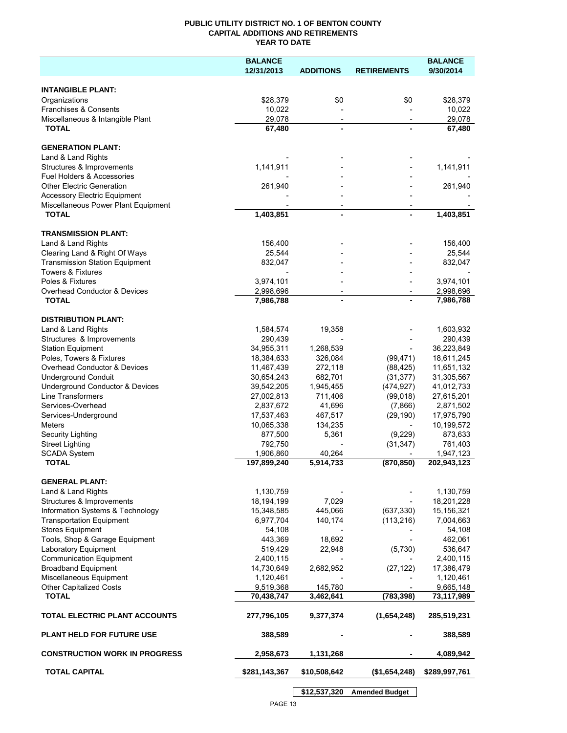## **PUBLIC UTILITY DISTRICT NO. 1 OF BENTON COUNTY CAPITAL ADDITIONS AND RETIREMENTS YEAR TO DATE**

|                                       | <b>BALANCE</b> |                          |                          | <b>BALANCE</b> |
|---------------------------------------|----------------|--------------------------|--------------------------|----------------|
|                                       | 12/31/2013     | <b>ADDITIONS</b>         | <b>RETIREMENTS</b>       | 9/30/2014      |
|                                       |                |                          |                          |                |
| <b>INTANGIBLE PLANT:</b>              |                |                          |                          |                |
| Organizations                         | \$28,379       | \$0                      | \$0                      | \$28,379       |
| Franchises & Consents                 | 10,022         |                          |                          | 10,022         |
| Miscellaneous & Intangible Plant      | 29,078         | $\overline{\phantom{a}}$ | $\overline{\phantom{a}}$ | 29,078         |
| <b>TOTAL</b>                          | 67,480         |                          |                          | 67,480         |
| <b>GENERATION PLANT:</b>              |                |                          |                          |                |
| Land & Land Rights                    |                |                          |                          |                |
| Structures & Improvements             | 1,141,911      |                          |                          | 1,141,911      |
| <b>Fuel Holders &amp; Accessories</b> |                |                          |                          |                |
| <b>Other Electric Generation</b>      | 261,940        |                          |                          | 261,940        |
| <b>Accessory Electric Equipment</b>   |                |                          |                          |                |
| Miscellaneous Power Plant Equipment   |                |                          |                          |                |
| <b>TOTAL</b>                          | 1,403,851      |                          |                          | 1,403,851      |
|                                       |                |                          |                          |                |
| <b>TRANSMISSION PLANT:</b>            |                |                          |                          |                |
| Land & Land Rights                    | 156,400        |                          |                          | 156,400        |
| Clearing Land & Right Of Ways         | 25,544         |                          |                          | 25,544         |
| <b>Transmission Station Equipment</b> | 832,047        |                          |                          | 832,047        |
| <b>Towers &amp; Fixtures</b>          |                |                          |                          |                |
| Poles & Fixtures                      | 3,974,101      |                          |                          | 3,974,101      |
| Overhead Conductor & Devices          | 2,998,696      |                          |                          | 2,998,696      |
| <b>TOTAL</b>                          | 7,986,788      |                          |                          | 7,986,788      |
| <b>DISTRIBUTION PLANT:</b>            |                |                          |                          |                |
| Land & Land Rights                    | 1,584,574      | 19,358                   |                          | 1,603,932      |
| Structures & Improvements             | 290,439        |                          |                          | 290,439        |
| <b>Station Equipment</b>              | 34,955,311     | 1,268,539                |                          | 36,223,849     |
| Poles, Towers & Fixtures              | 18,384,633     | 326,084                  | (99, 471)                | 18,611,245     |
| Overhead Conductor & Devices          | 11,467,439     | 272,118                  | (88, 425)                | 11,651,132     |
| <b>Underground Conduit</b>            | 30,654,243     | 682,701                  | (31, 377)                | 31,305,567     |
| Underground Conductor & Devices       | 39,542,205     | 1,945,455                | (474, 927)               | 41,012,733     |
| Line Transformers                     | 27,002,813     | 711,406                  | (99,018)                 | 27,615,201     |
| Services-Overhead                     | 2,837,672      | 41,696                   | (7,866)                  | 2,871,502      |
| Services-Underground                  | 17,537,463     | 467,517                  | (29, 190)                | 17,975,790     |
| <b>Meters</b>                         | 10,065,338     | 134,235                  |                          | 10,199,572     |
| <b>Security Lighting</b>              | 877,500        | 5,361                    | (9,229)                  | 873,633        |
| <b>Street Lighting</b>                | 792,750        |                          | (31, 347)                | 761,403        |
| <b>SCADA System</b>                   | 1,906,860      | 40,264                   |                          | 1,947,123      |
| <b>TOTAL</b>                          | 197,899,240    | 5,914,733                | (870, 850)               | 202,943,123    |
|                                       |                |                          |                          |                |
| <b>GENERAL PLANT:</b>                 |                |                          |                          |                |
| Land & Land Rights                    | 1,130,759      |                          |                          | 1,130,759      |
| Structures & Improvements             | 18,194,199     | 7,029                    |                          | 18,201,228     |
| Information Systems & Technology      | 15,348,585     | 445,066                  | (637, 330)               | 15,156,321     |
| <b>Transportation Equipment</b>       | 6,977,704      | 140,174                  | (113, 216)               | 7,004,663      |
| <b>Stores Equipment</b>               | 54,108         |                          |                          | 54,108         |
| Tools, Shop & Garage Equipment        | 443,369        | 18,692                   |                          | 462,061        |
| Laboratory Equipment                  | 519,429        | 22,948                   | (5,730)                  | 536,647        |
| <b>Communication Equipment</b>        | 2,400,115      |                          |                          | 2,400,115      |
| <b>Broadband Equipment</b>            | 14,730,649     | 2,682,952                | (27, 122)                | 17,386,479     |
| Miscellaneous Equipment               | 1,120,461      |                          |                          | 1,120,461      |
| <b>Other Capitalized Costs</b>        | 9,519,368      | 145,780                  |                          | 9,665,148      |
| <b>TOTAL</b>                          | 70,438,747     | 3,462,641                | (783, 398)               | 73,117,989     |
| TOTAL ELECTRIC PLANT ACCOUNTS         | 277,796,105    | 9,377,374                | (1,654,248)              | 285,519,231    |
| <b>PLANT HELD FOR FUTURE USE</b>      | 388,589        |                          |                          | 388,589        |
| <b>CONSTRUCTION WORK IN PROGRESS</b>  | 2,958,673      | 1,131,268                |                          | 4,089,942      |
| <b>TOTAL CAPITAL</b>                  | \$281,143,367  | \$10,508,642             | (\$1,654,248)            | \$289,997,761  |
|                                       |                |                          |                          |                |

PAGE 13

**\$12,537,320 Amended Budget**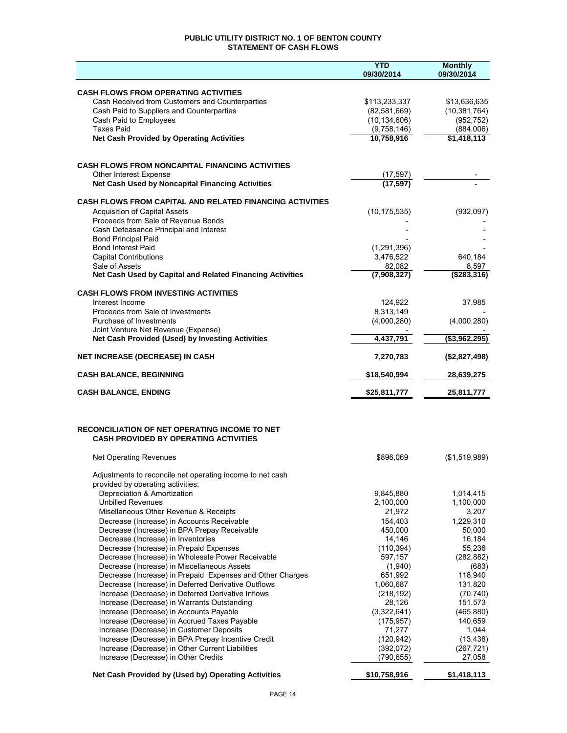## **PUBLIC UTILITY DISTRICT NO. 1 OF BENTON COUNTY STATEMENT OF CASH FLOWS**

|                                                                                                          | <b>YTD</b><br>09/30/2014   | <b>Monthly</b><br>09/30/2014 |
|----------------------------------------------------------------------------------------------------------|----------------------------|------------------------------|
|                                                                                                          |                            |                              |
| <b>CASH FLOWS FROM OPERATING ACTIVITIES</b>                                                              |                            |                              |
| Cash Received from Customers and Counterparties                                                          | \$113,233,337              | \$13,636,635                 |
| Cash Paid to Suppliers and Counterparties                                                                | (82,581,669)               | (10, 381, 764)               |
| Cash Paid to Employees<br><b>Taxes Paid</b>                                                              | (10, 134, 606)             | (952, 752)                   |
| <b>Net Cash Provided by Operating Activities</b>                                                         | (9,758,146)<br>10,758,916  | (884,006)<br>\$1,418,113     |
|                                                                                                          |                            |                              |
| <b>CASH FLOWS FROM NONCAPITAL FINANCING ACTIVITIES</b>                                                   |                            |                              |
| Other Interest Expense                                                                                   | (17, 597)                  |                              |
| Net Cash Used by Noncapital Financing Activities                                                         | (17, 597)                  |                              |
| CASH FLOWS FROM CAPITAL AND RELATED FINANCING ACTIVITIES                                                 |                            |                              |
| <b>Acquisition of Capital Assets</b>                                                                     | (10, 175, 535)             | (932, 097)                   |
| Proceeds from Sale of Revenue Bonds                                                                      |                            |                              |
| Cash Defeasance Principal and Interest                                                                   |                            |                              |
| <b>Bond Principal Paid</b>                                                                               |                            |                              |
| <b>Bond Interest Paid</b><br><b>Capital Contributions</b>                                                | (1, 291, 396)<br>3,476,522 | 640,184                      |
| Sale of Assets                                                                                           | 82,082                     | 8,597                        |
| Net Cash Used by Capital and Related Financing Activities                                                | (7,908,327)                | ( \$283, 316)                |
| <b>CASH FLOWS FROM INVESTING ACTIVITIES</b>                                                              |                            |                              |
| Interest Income                                                                                          | 124.922                    | 37,985                       |
| Proceeds from Sale of Investments                                                                        | 8,313,149                  |                              |
| Purchase of Investments                                                                                  | (4,000,280)                | (4,000,280)                  |
| Joint Venture Net Revenue (Expense)<br>Net Cash Provided (Used) by Investing Activities                  | 4,437,791                  | (\$3,962,295)                |
| <b>NET INCREASE (DECREASE) IN CASH</b>                                                                   | 7,270,783                  | (\$2,827,498)                |
| <b>CASH BALANCE, BEGINNING</b>                                                                           | \$18,540,994               | 28,639,275                   |
|                                                                                                          |                            |                              |
| <b>CASH BALANCE, ENDING</b>                                                                              | \$25,811,777               | 25,811,777                   |
|                                                                                                          |                            |                              |
| <b>RECONCILIATION OF NET OPERATING INCOME TO NET</b>                                                     |                            |                              |
| <b>CASH PROVIDED BY OPERATING ACTIVITIES</b>                                                             |                            |                              |
| <b>Net Operating Revenues</b>                                                                            | \$896,069                  | (\$1,519,989)                |
| Adjustments to reconcile net operating income to net cash                                                |                            |                              |
| provided by operating activities:                                                                        |                            |                              |
| Depreciation & Amortization<br><b>Unbilled Revenues</b>                                                  | 9,845,880<br>2,100,000     | 1,014,415<br>1,100,000       |
| Misellaneous Other Revenue & Receipts                                                                    | 21,972                     | 3,207                        |
| Decrease (Increase) in Accounts Receivable                                                               | 154,403                    | 1,229,310                    |
| Decrease (Increase) in BPA Prepay Receivable                                                             | 450,000                    | 50,000                       |
| Decrease (Increase) in Inventories                                                                       | 14,146                     | 16,184                       |
| Decrease (Increase) in Prepaid Expenses                                                                  | (110, 394)                 | 55,236                       |
| Decrease (Increase) in Wholesale Power Receivable                                                        | 597,157                    | (282, 882)                   |
| Decrease (Increase) in Miscellaneous Assets<br>Decrease (Increase) in Prepaid Expenses and Other Charges | (1,940)<br>651,992         | (683)<br>118,940             |
| Decrease (Increase) in Deferred Derivative Outflows                                                      | 1,060,687                  | 131,820                      |
| Increase (Decrease) in Deferred Derivative Inflows                                                       | (218, 192)                 | (70, 740)                    |
| Increase (Decrease) in Warrants Outstanding                                                              | 28,126                     | 151,573                      |
| Increase (Decrease) in Accounts Payable                                                                  | (3,322,641)                | (465, 880)                   |
| Increase (Decrease) in Accrued Taxes Payable                                                             | (175, 957)                 | 140,659                      |
| Increase (Decrease) in Customer Deposits                                                                 | 71,277                     | 1,044                        |
| Increase (Decrease) in BPA Prepay Incentive Credit                                                       | (120, 942)                 | (13, 438)                    |
| Increase (Decrease) in Other Current Liabilities<br>Increase (Decrease) in Other Credits                 | (392, 072)<br>(790, 655)   | (267, 721)<br>27,058         |
|                                                                                                          |                            |                              |
| Net Cash Provided by (Used by) Operating Activities                                                      | \$10,758,916               | \$1,418,113                  |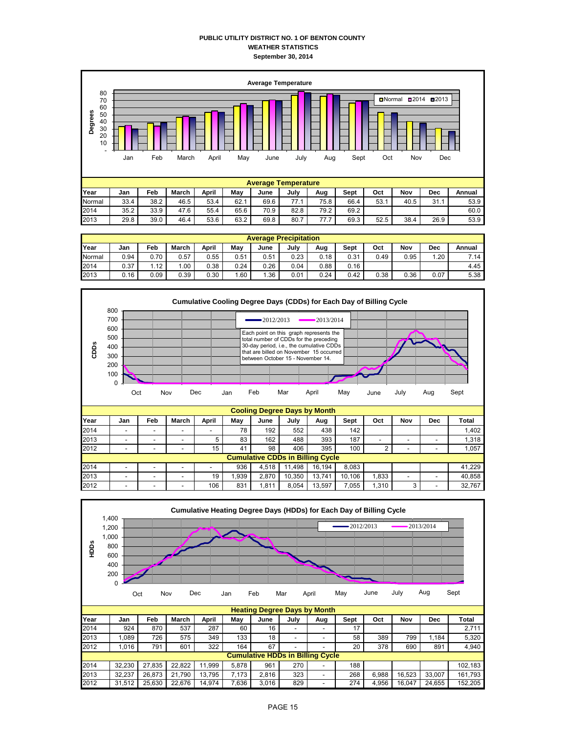### **PUBLIC UTILITY DISTRICT NO. 1 OF BENTON COUNTY WEATHER STATISTICS September 30, 2014**



|        | <b>Average Precipitation</b> |      |       |       |      |      |      |      |      |      |      |      |        |
|--------|------------------------------|------|-------|-------|------|------|------|------|------|------|------|------|--------|
| Year   | Jan                          | Feb  | March | April | Mav  | June | July | Aug  | Sept | Oct  | Nov  | Dec  | Annual |
| Normal | 0.94                         | 0.70 | 0.57  | ).55  | 0.51 | 0.51 | 0.23 | 0.18 | 0.31 | 0.49 | 0.95 | .20  | 7.14   |
| 2014   | 0.37                         | 1.12 | .00   | 0.38  | 0.24 | 0.26 | 0.04 | 0.88 | 0.16 |      |      |      | 4.45   |
| 2013   | 0.16                         | 0.09 | 0.39  | 0.30  | .60  | .36  | 0.01 | 0.24 | 0.42 | 0.38 | 0.36 | 0.07 | 5.38   |



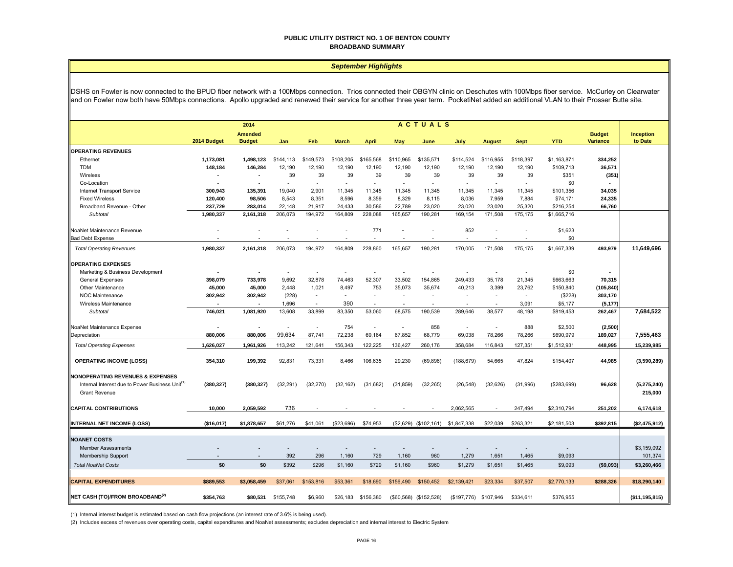#### **PUBLIC UTILITY DISTRICT NO. 1 OF BENTON COUNTY BROADBAND SUMMARY**

#### *September Highlights*

DSHS on Fowler is now connected to the BPUD fiber network with a 100Mbps connection. Trios connected their OBGYN clinic on Deschutes with 100Mbps fiber service. McCurley on Clearwater and on Fowler now both have 50Mbps connections. Apollo upgraded and renewed their service for another three year term. PocketiNet added an additional VLAN to their Prosser Butte site.

|                                                                                                                                    | <b>ACTUALS</b><br>2014 |                                 |           |                          |                          |                          |                          |                          |                                   |                          |                          |             |                                  |                        |
|------------------------------------------------------------------------------------------------------------------------------------|------------------------|---------------------------------|-----------|--------------------------|--------------------------|--------------------------|--------------------------|--------------------------|-----------------------------------|--------------------------|--------------------------|-------------|----------------------------------|------------------------|
|                                                                                                                                    | 2014 Budget            | <b>Amended</b><br><b>Budget</b> | Jan       | Feb                      | <b>March</b>             | <b>April</b>             | May                      | June                     | July                              | <b>August</b>            | <b>Sept</b>              | <b>YTD</b>  | <b>Budget</b><br><b>Variance</b> | Inception<br>to Date   |
| <b>OPERATING REVENUES</b>                                                                                                          |                        |                                 |           |                          |                          |                          |                          |                          |                                   |                          |                          |             |                                  |                        |
| Ethernet                                                                                                                           | 1,173,081              | 1,498,123                       | \$144,113 | \$149.573                | \$108,205                | \$165,568                | \$110,965                | \$135,571                | \$114,524                         | \$116,955                | \$118,397                | \$1,163,871 | 334,252                          |                        |
| TDM                                                                                                                                | 148,184                | 146,284                         | 12,190    | 12,190                   | 12,190                   | 12,190                   | 12,190                   | 12,190                   | 12,190                            | 12,190                   | 12,190                   | \$109,713   | 36,571                           |                        |
| Wireless                                                                                                                           |                        | $\blacksquare$                  | 39        | 39                       | 39                       | 39                       | 39                       | 39                       | 39                                | 39                       | 39                       | \$351       | (351)                            |                        |
| Co-Location                                                                                                                        |                        |                                 |           | $\overline{\phantom{a}}$ | $\overline{\phantom{a}}$ | $\overline{\phantom{a}}$ | $\overline{\phantom{a}}$ | $\overline{\phantom{a}}$ |                                   |                          | $\overline{\phantom{a}}$ | \$0         |                                  |                        |
| Internet Transport Service                                                                                                         | 300,943                | 135,391                         | 19,040    | 2.901                    | 11,345                   | 11,345                   | 11.345                   | 11,345                   | 11,345                            | 11,345                   | 11,345                   | \$101,356   | 34,035                           |                        |
| <b>Fixed Wireless</b>                                                                                                              | 120,400                | 98,506                          | 8.543     | 8.351                    | 8.596                    | 8,359                    | 8,329                    | 8,115                    | 8,036                             | 7.959                    | 7.884                    | \$74,171    | 24,335                           |                        |
| Broadband Revenue - Other                                                                                                          | 237,729                | 283,014                         | 22,148    | 21,917                   | 24,433                   | 30,586                   | 22,789                   | 23,020                   | 23,020                            | 23,020                   | 25,320                   | \$216,254   | 66,760                           |                        |
| <b>Subtotal</b>                                                                                                                    | 1,980,337              | 2,161,318                       | 206,073   | 194,972                  | 164,809                  | 228,088                  | 165,657                  | 190,281                  | 169,154                           | 171,508                  | 175,175                  | \$1,665,716 |                                  |                        |
| NoaNet Maintenance Revenue                                                                                                         |                        |                                 |           |                          |                          | 771                      |                          |                          | 852                               |                          |                          | \$1,623     |                                  |                        |
| <b>Bad Debt Expense</b>                                                                                                            |                        |                                 |           |                          |                          |                          |                          |                          |                                   |                          | ÷,                       | \$0         |                                  |                        |
| <b>Total Operating Revenues</b>                                                                                                    | 1,980,337              | 2,161,318                       | 206,073   | 194,972                  | 164,809                  | 228,860                  | 165,657                  | 190,281                  | 170,005                           | 171,508                  | 175,175                  | \$1,667,339 | 493,979                          | 11,649,696             |
| <b>OPERATING EXPENSES</b>                                                                                                          |                        |                                 |           |                          |                          |                          |                          |                          |                                   |                          |                          |             |                                  |                        |
| Marketing & Business Development                                                                                                   |                        |                                 |           |                          |                          |                          |                          |                          |                                   |                          |                          | \$0         |                                  |                        |
| <b>General Expenses</b>                                                                                                            | 398,079                | 733,978                         | 9,692     | 32,878                   | 74,463                   | 52,307                   | 33,502                   | 154,865                  | 249,433                           | 35.178                   | 21,345                   | \$663,663   | 70,315                           |                        |
| Other Maintenance                                                                                                                  | 45,000                 | 45,000                          | 2,448     | 1,021                    | 8,497                    | 753                      | 35,073                   | 35,674                   | 40,213                            | 3,399                    | 23,762                   | \$150,840   | (105, 840)                       |                        |
| <b>NOC Maintenance</b>                                                                                                             | 302,942                | 302,942                         | (228)     | $\omega$                 | ÷                        | $\overline{\phantom{a}}$ | $\overline{\phantom{a}}$ | $\overline{\phantom{a}}$ |                                   | $\overline{\phantom{a}}$ | $\sim$                   | (\$228)     | 303,170                          |                        |
| Wireless Maintenance                                                                                                               |                        |                                 | 1,696     |                          | 390                      |                          |                          |                          |                                   |                          | 3,091                    | \$5,177     | (5, 177)                         |                        |
| <b>Subtotal</b>                                                                                                                    | 746,021                | 1,081,920                       | 13,608    | 33,899                   | 83,350                   | 53,060                   | 68,575                   | 190,539                  | 289,646                           | 38,577                   | 48,198                   | \$819,453   | 262,467                          | 7,684,522              |
| NoaNet Maintenance Expense                                                                                                         |                        |                                 |           | ÷,                       | 754                      |                          |                          | 858                      |                                   | Ĭ.                       | 888                      | \$2,500     | (2,500)                          |                        |
| Depreciation                                                                                                                       | 880,006                | 880,006                         | 99,634    | 87,741                   | 72,238                   | 69,164                   | 67,852                   | 68,779                   | 69,038                            | 78,266                   | 78,266                   | \$690,979   | 189,027                          | 7,555,463              |
| <b>Total Operating Expenses</b>                                                                                                    | 1,626,027              | 1,961,926                       | 113,242   | 121,641                  | 156,343                  | 122,225                  | 136,427                  | 260,176                  | 358,684                           | 116,843                  | 127,351                  | \$1,512,931 | 448,995                          | 15,239,985             |
| <b>OPERATING INCOME (LOSS)</b>                                                                                                     | 354,310                | 199,392                         | 92,831    | 73,331                   | 8,466                    | 106,635                  | 29,230                   | (69, 896)                | (188, 679)                        | 54,665                   | 47,824                   | \$154,407   | 44,985                           | (3,590,289)            |
| <b>NONOPERATING REVENUES &amp; EXPENSES</b><br>Internal Interest due to Power Business Unit <sup>(1)</sup><br><b>Grant Revenue</b> | (380, 327)             | (380, 327)                      | (32, 291) | (32, 270)                | (32, 162)                | (31,682)                 | (31, 859)                | (32, 265)                | (26, 548)                         | (32, 626)                | (31,996)                 | (\$283,699) | 96,628                           | (5,275,240)<br>215,000 |
| <b>CAPITAL CONTRIBUTIONS</b>                                                                                                       | 10.000                 | 2.059.592                       | 736       |                          |                          |                          |                          |                          | 2.062.565                         |                          | 247,494                  | \$2,310,794 | 251,202                          | 6,174,618              |
| <b>INTERNAL NET INCOME (LOSS)</b>                                                                                                  | (\$16,017)             | \$1,878,657                     | \$61,276  | \$41,061                 | (\$23,696)               | \$74,953                 |                          |                          | (\$2,629) (\$102,161) \$1,847,338 | \$22,039                 | \$263,321                | \$2,181,503 | \$392,815                        | (\$2,475,912)          |
|                                                                                                                                    |                        |                                 |           |                          |                          |                          |                          |                          |                                   |                          |                          |             |                                  |                        |
| <b>NOANET COSTS</b>                                                                                                                |                        |                                 |           |                          |                          |                          |                          |                          |                                   |                          |                          |             |                                  |                        |
| <b>Member Assessments</b>                                                                                                          |                        |                                 |           |                          |                          |                          |                          |                          |                                   |                          |                          |             |                                  | \$3,159,092            |
| <b>Membership Support</b>                                                                                                          |                        |                                 | 392       | 296                      | 1,160                    | 729                      | 1,160                    | 960                      | 1,279                             | 1,651                    | 1,465                    | \$9,093     |                                  | 101,374                |
| <b>Total NoaNet Costs</b>                                                                                                          | \$0                    | \$0                             | \$392     | \$296                    | \$1,160                  | \$729                    | \$1,160                  | \$960                    | \$1,279                           | \$1,651                  | \$1,465                  | \$9,093     | (\$9,093)                        | \$3,260,466            |
| <b>CAPITAL EXPENDITURES</b>                                                                                                        | \$889,553              | \$3,058,459                     | \$37,061  | \$153,816                | \$53,361                 | \$18,690                 | \$156,490                | \$150,452                | \$2,139,421                       | \$23,334                 | \$37,507                 | \$2,770,133 | \$288,326                        | \$18,290,140           |
| NET CASH (TO)/FROM BROADBAND <sup>(2)</sup>                                                                                        | \$354,763              | \$80.531                        | \$155,748 | \$6,960                  | \$26,183                 | \$156,380                |                          | (\$60,568) (\$152,528)   | (\$197,776)                       | \$107,946                | \$334.611                | \$376,955   |                                  | ( \$11, 195, 815)      |

(1) Internal interest budget is estimated based on cash flow projections (an interest rate of 3.6% is being used).

(2) Includes excess of revenues over operating costs, capital expenditures and NoaNet assessments; excludes depreciation and internal interest to Electric System